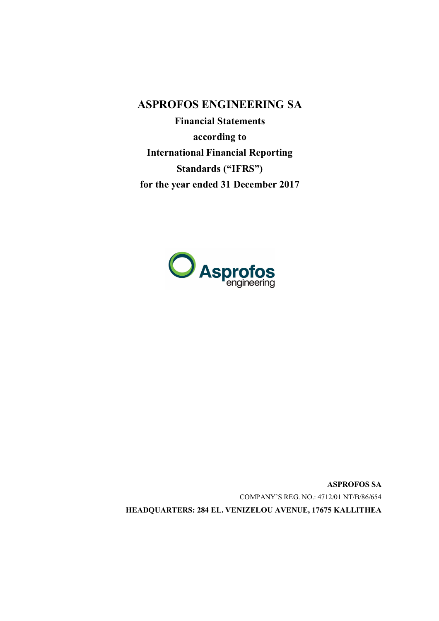**ASPROFOS ENGINEERING SA**

**Financial Statements according to International Financial Reporting Standards ("IFRS") for the year ended 31 December 2017**



**ASPROFOS SA** COMPANY'S REG. NO.: 4712/01 ΝΤ/Β/86/654 **HEADQUARTERS: 284 EL. VENIZELOU AVENUE, 17675 KALLITHEA**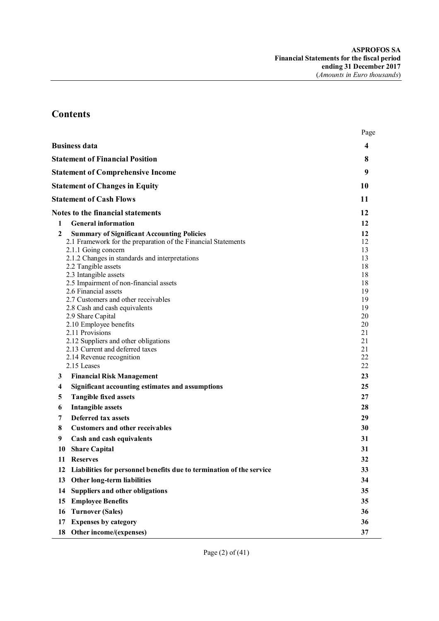# **Contents**

|              |                                                                                                                                                                                                                                                                                                                                                                                                                                                                                                                                                                               | Page                                                                                               |
|--------------|-------------------------------------------------------------------------------------------------------------------------------------------------------------------------------------------------------------------------------------------------------------------------------------------------------------------------------------------------------------------------------------------------------------------------------------------------------------------------------------------------------------------------------------------------------------------------------|----------------------------------------------------------------------------------------------------|
|              | <b>Business data</b>                                                                                                                                                                                                                                                                                                                                                                                                                                                                                                                                                          | 4                                                                                                  |
|              | <b>Statement of Financial Position</b>                                                                                                                                                                                                                                                                                                                                                                                                                                                                                                                                        | 8                                                                                                  |
|              | <b>Statement of Comprehensive Income</b>                                                                                                                                                                                                                                                                                                                                                                                                                                                                                                                                      | 9                                                                                                  |
|              | <b>Statement of Changes in Equity</b>                                                                                                                                                                                                                                                                                                                                                                                                                                                                                                                                         | 10                                                                                                 |
|              | <b>Statement of Cash Flows</b>                                                                                                                                                                                                                                                                                                                                                                                                                                                                                                                                                | 11                                                                                                 |
|              | <b>Notes to the financial statements</b>                                                                                                                                                                                                                                                                                                                                                                                                                                                                                                                                      | 12                                                                                                 |
| $\mathbf{1}$ | <b>General information</b>                                                                                                                                                                                                                                                                                                                                                                                                                                                                                                                                                    | 12                                                                                                 |
| 2            | <b>Summary of Significant Accounting Policies</b><br>2.1 Framework for the preparation of the Financial Statements<br>2.1.1 Going concern<br>2.1.2 Changes in standards and interpretations<br>2.2 Tangible assets<br>2.3 Intangible assets<br>2.5 Impairment of non-financial assets<br>2.6 Financial assets<br>2.7 Customers and other receivables<br>2.8 Cash and cash equivalents<br>2.9 Share Capital<br>2.10 Employee benefits<br>2.11 Provisions<br>2.12 Suppliers and other obligations<br>2.13 Current and deferred taxes<br>2.14 Revenue recognition<br>2.15 Leases | 12<br>12<br>13<br>13<br>18<br>18<br>18<br>19<br>19<br>19<br>20<br>20<br>21<br>21<br>21<br>22<br>22 |
| 3            | <b>Financial Risk Management</b>                                                                                                                                                                                                                                                                                                                                                                                                                                                                                                                                              | 23                                                                                                 |
| 4            | Significant accounting estimates and assumptions                                                                                                                                                                                                                                                                                                                                                                                                                                                                                                                              | 25                                                                                                 |
| 5            | <b>Tangible fixed assets</b>                                                                                                                                                                                                                                                                                                                                                                                                                                                                                                                                                  | 27                                                                                                 |
| 6<br>7       | <b>Intangible assets</b><br><b>Deferred tax assets</b>                                                                                                                                                                                                                                                                                                                                                                                                                                                                                                                        | 28<br>29                                                                                           |
| 8            | <b>Customers and other receivables</b>                                                                                                                                                                                                                                                                                                                                                                                                                                                                                                                                        | 30                                                                                                 |
| 9            | Cash and cash equivalents                                                                                                                                                                                                                                                                                                                                                                                                                                                                                                                                                     | 31                                                                                                 |
|              | 10 Share Capital                                                                                                                                                                                                                                                                                                                                                                                                                                                                                                                                                              | 31                                                                                                 |
| 11           | <b>Reserves</b>                                                                                                                                                                                                                                                                                                                                                                                                                                                                                                                                                               | 32                                                                                                 |
| 12           | Liabilities for personnel benefits due to termination of the service                                                                                                                                                                                                                                                                                                                                                                                                                                                                                                          | 33                                                                                                 |
| 13           | <b>Other long-term liabilities</b>                                                                                                                                                                                                                                                                                                                                                                                                                                                                                                                                            | 34                                                                                                 |
| 14           | <b>Suppliers and other obligations</b>                                                                                                                                                                                                                                                                                                                                                                                                                                                                                                                                        | 35                                                                                                 |
| 15           | <b>Employee Benefits</b>                                                                                                                                                                                                                                                                                                                                                                                                                                                                                                                                                      | 35                                                                                                 |
| 16           | <b>Turnover (Sales)</b>                                                                                                                                                                                                                                                                                                                                                                                                                                                                                                                                                       | 36                                                                                                 |
| 17           | <b>Expenses by category</b>                                                                                                                                                                                                                                                                                                                                                                                                                                                                                                                                                   | 36                                                                                                 |
| 18           | Other income/(expenses)                                                                                                                                                                                                                                                                                                                                                                                                                                                                                                                                                       | 37                                                                                                 |
|              |                                                                                                                                                                                                                                                                                                                                                                                                                                                                                                                                                                               |                                                                                                    |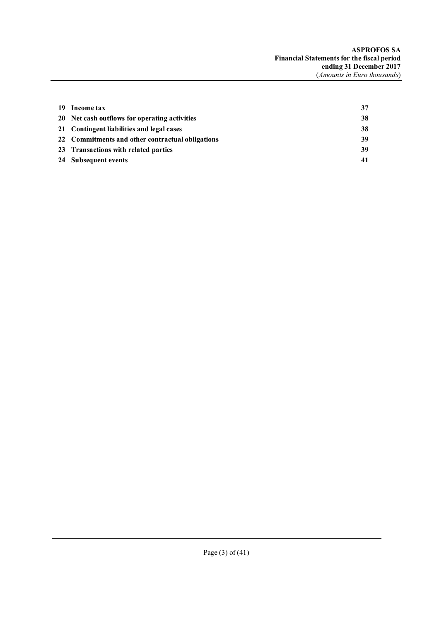| 19 Income tax                                    | 37 |
|--------------------------------------------------|----|
| 20 Net cash outflows for operating activities    | 38 |
| 21 Contingent liabilities and legal cases        | 38 |
| 22 Commitments and other contractual obligations | 39 |
| 23 Transactions with related parties             | 39 |
| 24 Subsequent events                             | 41 |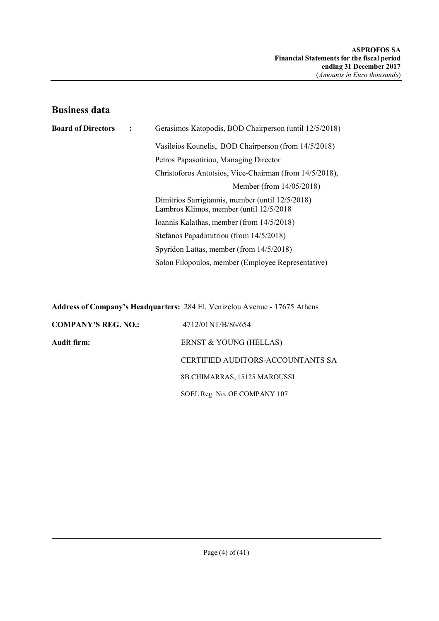## **Business data**

| <b>Board of Directors</b> | $\cdot$ | Gerasimos Katopodis, BOD Chairperson (until 12/5/2018)                                       |
|---------------------------|---------|----------------------------------------------------------------------------------------------|
|                           |         | Vasileios Kounelis, BOD Chairperson (from 14/5/2018)                                         |
|                           |         | Petros Papasotiriou, Managing Director                                                       |
|                           |         | Christoforos Antotsios, Vice-Chairman (from 14/5/2018),                                      |
|                           |         | Member (from 14/05/2018)                                                                     |
|                           |         | Dimitrios Sarrigiannis, member (until 12/5/2018)<br>Lambros Klimos, member (until 12/5/2018) |
|                           |         | Ioannis Kalathas, member (from 14/5/2018)                                                    |
|                           |         | Stefanos Papadimitriou (from 14/5/2018)                                                      |
|                           |         | Spyridon Lattas, member (from 14/5/2018)                                                     |
|                           |         | Solon Filopoulos, member (Employee Representative)                                           |

**Address of Company's Headquarters:** 284 El. Venizelou Avenue - 17675 Athens

| <b>COMPANY'S REG. NO.:</b> | 4712/01NT/B/86/654                |
|----------------------------|-----------------------------------|
| Audit firm:                | ERNST & YOUNG (HELLAS)            |
|                            | CERTIFIED AUDITORS-ACCOUNTANTS SA |
|                            | 8B CHIMARRAS, 15125 MAROUSSI      |
|                            | SOEL Reg. No. OF COMPANY 107      |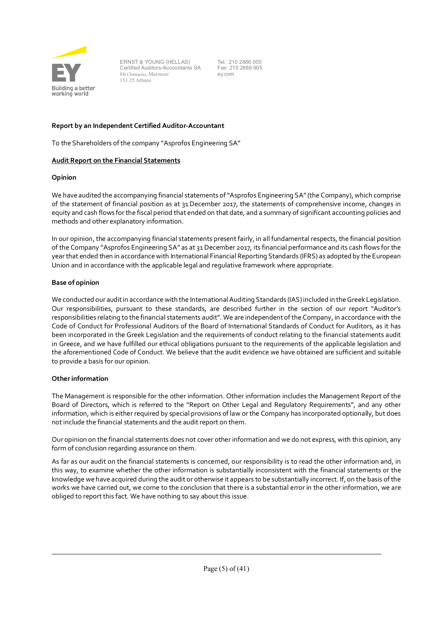

ERNST & YOUNG (HELLAS) Certified Auditors-Accountants SA 8Β Chimarras, Maroussi 151 25 Athens

Tel.: 210 2886 000 Fax: 210 2886 905 ey.com

## **Report by an Independent Certified Auditor-Accountant**

To the Shareholders of the company "Asprofos Engineering SA"

### **Audit Report on the Financial Statements**

#### **Opinion**

We have audited the accompanying financial statements of "Asprofos Engineering SA" (the Company), which comprise of the statement of financial position as at 31December 2017, the statements of comprehensive income, changes in equity and cash flows for the fiscal period that ended on that date, and a summary of significant accounting policies and methods and other explanatory information.

In our opinion, the accompanying financial statements present fairly, in all fundamental respects, the financial position of the Company "Asprofos Engineering SA" as at 31 December 2017, its financial performance and its cash flows for the year that ended then in accordance with International Financial Reporting Standards (IFRS) as adopted by the European Union and in accordance with the applicable legal and regulative framework where appropriate.

### **Base of opinion**

We conducted our audit in accordance with the International Auditing Standards (IAS) included in the Greek Legislation. Our responsibilities, pursuant to these standards, are described further in the section of our report "Auditor's responsibilities relating to the financial statements audit". We are independent of the Company, in accordance with the Code of Conduct for Professional Auditors of the Board of International Standards of Conduct for Auditors, as it has been incorporated in the Greek Legislation and the requirements of conduct relating to the financial statements audit in Greece, and we have fulfilled our ethical obligations pursuant to the requirements of the applicable legislation and the aforementioned Code of Conduct. We believe that the audit evidence we have obtained are sufficient and suitable to provide a basis for our opinion.

#### **Other information**

The Management is responsible for the other information. Other information includes the Management Report of the Board of Directors, which is referred to the "Report on Other Legal and Regulatory Requirements", and any other information, which is either required by special provisions of law or the Company has incorporated optionally, but does not include the financial statements and the audit report on them.

Our opinion on the financial statements does not cover other information and we do not express, with this opinion, any form of conclusion regarding assurance on them.

As far as our audit on the financial statements is concerned, our responsibility is to read the other information and, in this way, to examine whether the other information is substantially inconsistent with the financial statements or the knowledge we have acquired during the audit or otherwise it appears to be substantially incorrect. If, on the basis of the works we have carried out, we come to the conclusion that there is a substantial error in the other information, we are obliged to report this fact. We have nothing to say about this issue.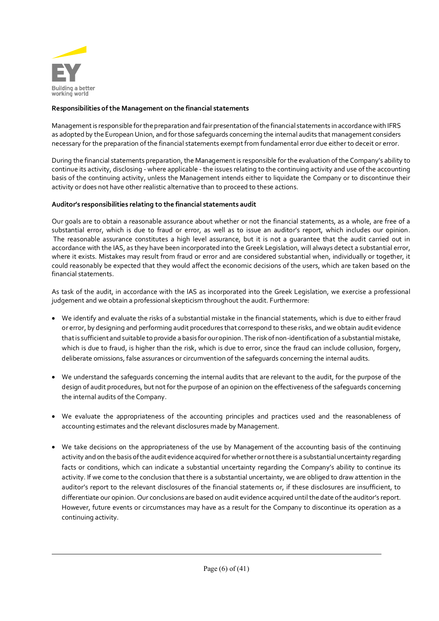

## **Responsibilities of the Management on the financial statements**

Management is responsible for the preparation and fair presentation of the financial statements in accordance with IFRS as adopted by the European Union, and for those safeguards concerning the internal audits that management considers necessary for the preparation of the financial statements exempt from fundamental error due either to deceit or error.

During the financial statements preparation, the Management is responsible for the evaluation of the Company's ability to continue its activity, disclosing - where applicable - the issues relating to the continuing activity and use of the accounting basis of the continuing activity, unless the Management intends either to liquidate the Company or to discontinue their activity or does not have other realistic alternative than to proceed to these actions.

## **Auditor's responsibilities relating to the financial statements audit**

Our goals are to obtain a reasonable assurance about whether or not the financial statements, as a whole, are free of a substantial error, which is due to fraud or error, as well as to issue an auditor's report, which includes our opinion. The reasonable assurance constitutes a high level assurance, but it is not a guarantee that the audit carried out in accordance with the IAS, as they have been incorporated into the Greek Legislation, will always detect a substantial error, where it exists. Mistakes may result from fraud or error and are considered substantial when, individually or together, it could reasonably be expected that they would affect the economic decisions of the users, which are taken based on the financial statements.

As task of the audit, in accordance with the IAS as incorporated into the Greek Legislation, we exercise a professional judgement and we obtain a professional skepticism throughout the audit. Furthermore:

- We identify and evaluate the risks of a substantial mistake in the financial statements, which is due to either fraud or error, by designing and performing audit procedures that correspond to these risks, and we obtain audit evidence that is sufficient and suitable to provide a basis for our opinion. The risk of non-identification of a substantial mistake, which is due to fraud, is higher than the risk, which is due to error, since the fraud can include collusion, forgery, deliberate omissions, false assurances or circumvention of the safeguards concerning the internal audits.
- We understand the safeguards concerning the internal audits that are relevant to the audit, for the purpose of the design of audit procedures, but not for the purpose of an opinion on the effectiveness of the safeguards concerning the internal audits of the Company.
- We evaluate the appropriateness of the accounting principles and practices used and the reasonableness of accounting estimates and the relevant disclosures made by Management.
- We take decisions on the appropriateness of the use by Management of the accounting basis of the continuing activity and on the basis of the audit evidence acquired for whether or not there is a substantial uncertainty regarding facts or conditions, which can indicate a substantial uncertainty regarding the Company's ability to continue its activity. If we come to the conclusion that there is a substantial uncertainty, we are obliged to draw attention in the auditor's report to the relevant disclosures of the financial statements or, if these disclosures are insufficient, to differentiate our opinion. Our conclusions are based on audit evidence acquired until the date of the auditor's report. However, future events or circumstances may have as a result for the Company to discontinue its operation as a continuing activity.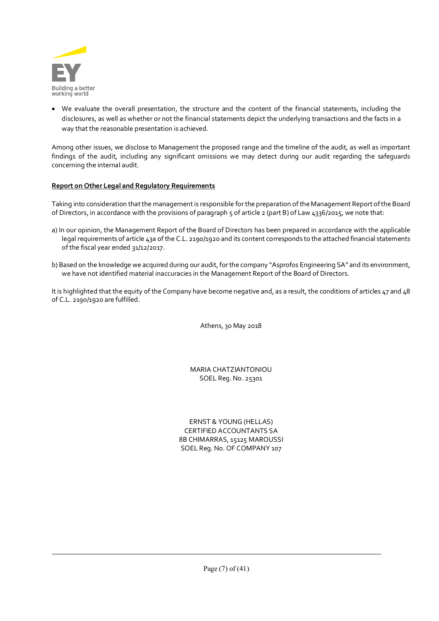

 We evaluate the overall presentation, the structure and the content of the financial statements, including the disclosures, as well as whether or not the financial statements depict the underlying transactions and the facts in a way that the reasonable presentation is achieved.

Among other issues, we disclose to Management the proposed range and the timeline of the audit, as well as important findings of the audit, including any significant omissions we may detect during our audit regarding the safeguards concerning the internal audit.

## **Report on Other Legal and Regulatory Requirements**

Taking into consideration that the management is responsible for the preparation of the Management Report of the Board of Directors, in accordance with the provisions of paragraph 5 of article 2 (part B) of Law 4336/2015, we note that:

- a) In our opinion, the Management Report of the Board of Directors has been prepared in accordance with the applicable legal requirements of article 43a of the C.L. 2190/1920 and its content corresponds to the attached financial statements of the fiscal year ended 31/12/2017.
- b) Based on the knowledge we acquired during our audit, for the company "Asprofos Engineering SA" and its environment, we have not identified material inaccuracies in the Management Report of the Board of Directors.

It is highlighted that the equity of the Company have become negative and, as a result, the conditions of articles 47 and 48 of C.L. 2190/1920 are fulfilled.

Athens, 30 May 2018

MARIA CHATZIANTONIOU SOEL Reg. No. 25301

ERNST & YOUNG (HELLAS) CERTIFIED ACCOUNTANTS SA 8Β CHIMARRAS, 15125 MAROUSSI SOEL Reg. No. OF COMPANY 107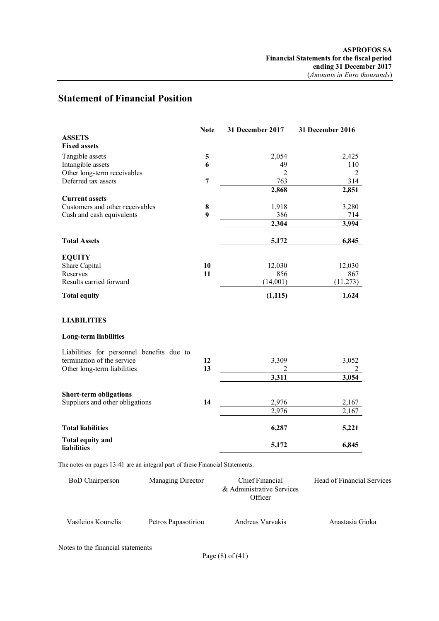# **Statement of Financial Position**

|                                                                              | <b>Note</b>    | 31 December 2017                     | 31 December 2016           |
|------------------------------------------------------------------------------|----------------|--------------------------------------|----------------------------|
| <b>ASSETS</b>                                                                |                |                                      |                            |
| <b>Fixed assets</b>                                                          |                |                                      |                            |
| Tangible assets                                                              | 5              | 2,054                                | 2,425                      |
| Intangible assets                                                            | 6              | 49                                   | 110                        |
| Other long-term receivables                                                  |                | $\overline{2}$                       | $\overline{2}$             |
| Deferred tax assets                                                          | $\overline{7}$ | 763                                  | 314                        |
|                                                                              |                | 2,868                                | 2,851                      |
| <b>Current assets</b>                                                        |                |                                      |                            |
| Customers and other receivables                                              | 8              | 1,918                                | 3,280                      |
| Cash and cash equivalents                                                    | 9              | 386                                  | 714                        |
|                                                                              |                | 2,304                                | 3,994                      |
|                                                                              |                |                                      |                            |
| <b>Total Assets</b>                                                          |                | 5,172                                | 6,845                      |
| <b>EQUITY</b>                                                                |                |                                      |                            |
| Share Capital                                                                | 10             | 12,030                               | 12,030                     |
| Reserves                                                                     | 11             | 856                                  | 867                        |
| Results carried forward                                                      |                | (14,001)                             | (11, 273)                  |
| <b>Total equity</b>                                                          |                | (1,115)                              | 1,624                      |
|                                                                              |                |                                      |                            |
| <b>LIABILITIES</b>                                                           |                |                                      |                            |
| <b>Long-term liabilities</b>                                                 |                |                                      |                            |
| Liabilities for personnel benefits due to                                    |                |                                      |                            |
| termination of the service                                                   | 12             | 3,309                                | 3,052                      |
| Other long-term liabilities                                                  | 13             | 2                                    | 2                          |
|                                                                              |                | 3,311                                | 3,054                      |
|                                                                              |                |                                      |                            |
| <b>Short-term obligations</b>                                                |                |                                      |                            |
| Suppliers and other obligations                                              | 14             | 2,976                                | 2,167                      |
|                                                                              |                | 2.976                                | 2,167                      |
| <b>Total liabilities</b>                                                     |                | 6,287                                | 5,221                      |
| <b>Total equity and</b>                                                      |                | 5,172                                | 6,845                      |
| liabilities                                                                  |                |                                      |                            |
| The notes on pages 13-41 are an integral part of these Financial Statements. |                |                                      |                            |
| Managing Director<br><b>BoD</b> Chairperson                                  |                | Chief Financial                      | Head of Financial Services |
|                                                                              |                | & Administrative Services<br>Officer |                            |
|                                                                              |                |                                      |                            |

Notes to the financial statements

Vasileios Kounelis Petros Papasotiriou Andreas Varvakis Anastasia Gioka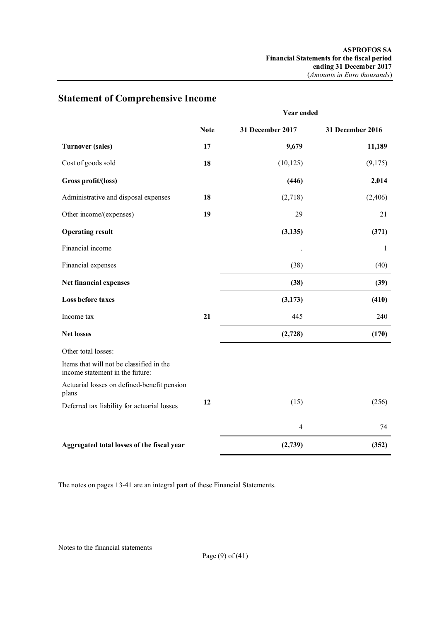**Year ended**

|                                                                             | <b>Note</b> | 31 December 2017 | 31 December 2016 |
|-----------------------------------------------------------------------------|-------------|------------------|------------------|
| <b>Turnover (sales)</b>                                                     | 17          | 9,679            | 11,189           |
| Cost of goods sold                                                          | 18          | (10, 125)        | (9,175)          |
| Gross profit/(loss)                                                         |             | (446)            | 2,014            |
| Administrative and disposal expenses                                        | 18          | (2,718)          | (2,406)          |
| Other income/(expenses)                                                     | 19          | 29               | 21               |
| <b>Operating result</b>                                                     |             | (3, 135)         | (371)            |
| Financial income                                                            |             |                  | 1                |
| Financial expenses                                                          |             | (38)             | (40)             |
| Net financial expenses                                                      |             | (38)             | (39)             |
| Loss before taxes                                                           |             | (3,173)          | (410)            |
| Income tax                                                                  | 21          | 445              | 240              |
| <b>Net losses</b>                                                           |             | (2,728)          | (170)            |
| Other total losses:                                                         |             |                  |                  |
| Items that will not be classified in the<br>income statement in the future: |             |                  |                  |
| Actuarial losses on defined-benefit pension<br>plans                        |             |                  |                  |
| Deferred tax liability for actuarial losses                                 | 12          | (15)             | (256)            |
|                                                                             |             | $\overline{4}$   | 74               |
| Aggregated total losses of the fiscal year                                  |             | (2,739)          | (352)            |

# **Statement of Comprehensive Income**

The notes on pages 13-41 are an integral part of these Financial Statements.

Notes to the financial statements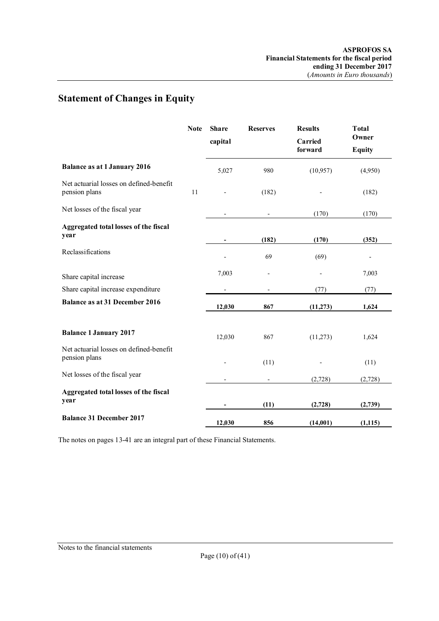# **Statement of Changes in Equity**

|                                                          | <b>Note</b> | <b>Share</b><br>capital | <b>Reserves</b>          | <b>Results</b><br>Carried<br>forward | <b>Total</b><br>Owner<br><b>Equity</b> |
|----------------------------------------------------------|-------------|-------------------------|--------------------------|--------------------------------------|----------------------------------------|
| <b>Balance as at 1 January 2016</b>                      |             | 5,027                   | 980                      | (10, 957)                            | (4,950)                                |
| Net actuarial losses on defined-benefit<br>pension plans | 11          |                         | (182)                    |                                      | (182)                                  |
| Net losses of the fiscal year                            |             |                         | $\overline{\phantom{a}}$ | (170)                                | (170)                                  |
| Aggregated total losses of the fiscal<br>year            |             |                         | (182)                    | (170)                                | (352)                                  |
| Reclassifications                                        |             |                         | 69                       | (69)                                 |                                        |
| Share capital increase                                   |             | 7,003                   |                          |                                      | 7,003                                  |
| Share capital increase expenditure                       |             |                         |                          | (77)                                 | (77)                                   |
| <b>Balance as at 31 December 2016</b>                    |             | 12,030                  | 867                      | (11, 273)                            | 1,624                                  |
| <b>Balance 1 January 2017</b>                            |             | 12,030                  | 867                      | (11,273)                             | 1,624                                  |
| Net actuarial losses on defined-benefit<br>pension plans |             |                         | (11)                     |                                      | (11)                                   |
| Net losses of the fiscal year                            |             |                         |                          | (2,728)                              | (2,728)                                |
| Aggregated total losses of the fiscal<br>year            |             |                         | (11)                     | (2,728)                              | (2,739)                                |
| <b>Balance 31 December 2017</b>                          |             | 12,030                  | 856                      | (14,001)                             | (1, 115)                               |

The notes on pages 13-41 are an integral part of these Financial Statements.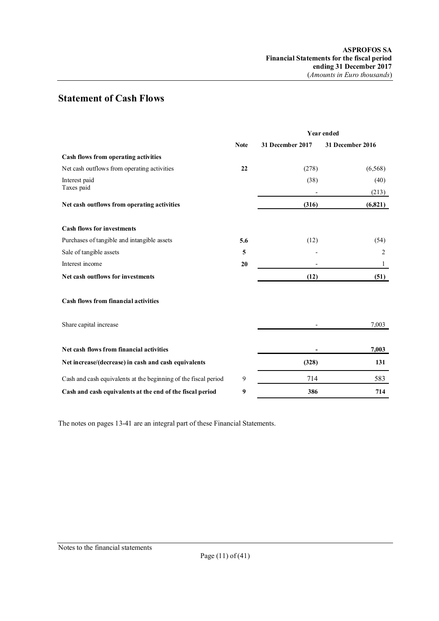# **Statement of Cash Flows**

|                                                                 |             |                  | <b>Year ended</b> |  |  |
|-----------------------------------------------------------------|-------------|------------------|-------------------|--|--|
|                                                                 | <b>Note</b> | 31 December 2017 | 31 December 2016  |  |  |
| Cash flows from operating activities                            |             |                  |                   |  |  |
| Net cash outflows from operating activities                     | 22          | (278)            | (6,568)           |  |  |
| Interest paid<br>Taxes paid                                     |             | (38)             | (40)<br>(213)     |  |  |
| Net cash outflows from operating activities                     |             | (316)            | (6,821)           |  |  |
| <b>Cash flows for investments</b>                               |             |                  |                   |  |  |
| Purchases of tangible and intangible assets                     | 5.6         | (12)             | (54)              |  |  |
| Sale of tangible assets                                         | 5           |                  | 2                 |  |  |
| Interest income                                                 | 20          |                  | 1                 |  |  |
| Net cash outflows for investments                               |             | (12)             | (51)              |  |  |
| <b>Cash flows from financial activities</b>                     |             |                  |                   |  |  |
| Share capital increase                                          |             |                  | 7,003             |  |  |
| Net cash flows from financial activities                        |             |                  | 7,003             |  |  |
| Net increase/(decrease) in cash and cash equivalents            |             | (328)            | 131               |  |  |
| Cash and cash equivalents at the beginning of the fiscal period | 9           | 714              | 583               |  |  |
| Cash and cash equivalents at the end of the fiscal period       | 9           | 386              | 714               |  |  |

The notes on pages 13-41 are an integral part of these Financial Statements.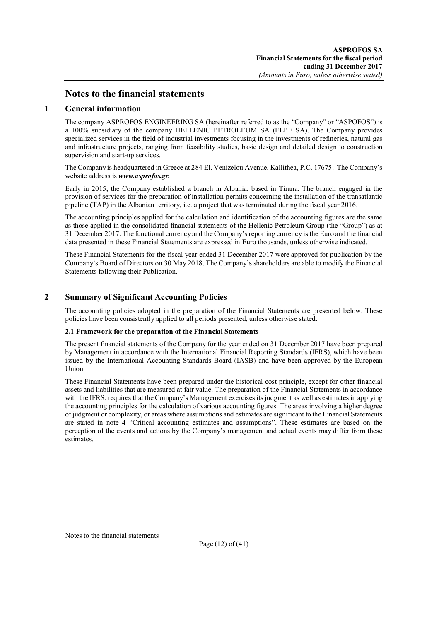## **Notes to the financial statements**

## **1 General information**

The company ASPROFOS ENGINEERING SA (hereinafter referred to as the "Company" or "ASPOFOS") is a 100% subsidiary of the company HELLENIC PETROLEUM SA (ELPE SA). The Company provides specialized services in the field of industrial investments focusing in the investments of refineries, natural gas and infrastructure projects, ranging from feasibility studies, basic design and detailed design to construction supervision and start-up services.

The Company is headquartered in Greece at 284 El. Venizelou Avenue, Kallithea, P.C. 17675. The Company's website address is *www.asprofos.gr.*

Early in 2015, the Company established a branch in Albania, based in Tirana. The branch engaged in the provision of services for the preparation of installation permits concerning the installation of the transatlantic pipeline (TAP) in the Albanian territory, i.e. a project that was terminated during the fiscal year 2016.

The accounting principles applied for the calculation and identification of the accounting figures are the same as those applied in the consolidated financial statements of the Hellenic Petroleum Group (the "Group") as at 31 December 2017. The functional currency and the Company's reporting currency is the Euro and the financial data presented in these Financial Statements are expressed in Euro thousands, unless otherwise indicated.

These Financial Statements for the fiscal year ended 31 December 2017 were approved for publication by the Company's Board of Directors on 30 May 2018. The Company's shareholders are able to modify the Financial Statements following their Publication.

## **2 Summary of Significant Accounting Policies**

The accounting policies adopted in the preparation of the Financial Statements are presented below. These policies have been consistently applied to all periods presented, unless otherwise stated.

#### **2.1 Framework for the preparation of the Financial Statements**

The present financial statements of the Company for the year ended on 31 December 2017 have been prepared by Management in accordance with the International Financial Reporting Standards (IFRS), which have been issued by the International Accounting Standards Board (IASB) and have been approved by the European Union.

These Financial Statements have been prepared under the historical cost principle, except for other financial assets and liabilities that are measured at fair value. The preparation of the Financial Statements in accordance with the IFRS, requires that the Company's Management exercises its judgment as well as estimates in applying the accounting principles for the calculation of various accounting figures. The areas involving a higher degree of judgment or complexity, or areas where assumptions and estimates are significant to the Financial Statements are stated in note 4 "Critical accounting estimates and assumptions". These estimates are based on the perception of the events and actions by the Company's management and actual events may differ from these estimates.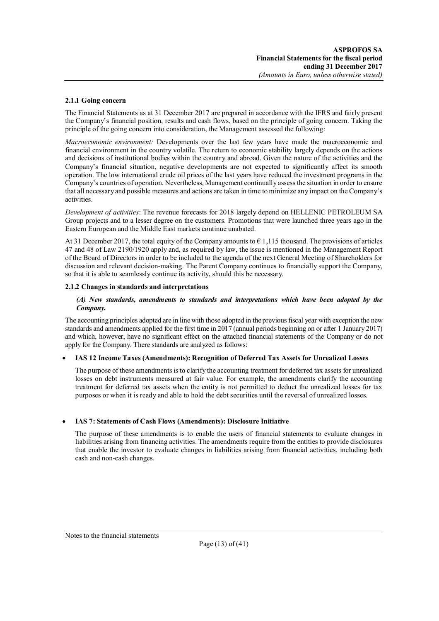#### **2.1.1 Going concern**

The Financial Statements as at 31 December 2017 are prepared in accordance with the IFRS and fairly present the Company's financial position, results and cash flows, based on the principle of going concern. Taking the principle of the going concern into consideration, the Management assessed the following:

*Macroeconomic environment:* Developments over the last few years have made the macroeconomic and financial environment in the country volatile. The return to economic stability largely depends on the actions and decisions of institutional bodies within the country and abroad. Given the nature of the activities and the Company's financial situation, negative developments are not expected to significantly affect its smooth operation. The low international crude oil prices of the last years have reduced the investment programs in the Company's countries of operation. Nevertheless, Management continually assess the situation in order to ensure that all necessary and possible measures and actions are taken in time to minimize any impact on the Company's activities.

*Development of activities*: The revenue forecasts for 2018 largely depend on HELLENIC PETROLEUM SA Group projects and to a lesser degree on the customers. Promotions that were launched three years ago in the Eastern European and the Middle East markets continue unabated.

At 31 December 2017, the total equity of the Company amounts to  $\epsilon$  1,115 thousand. The provisions of articles 47 and 48 of Law 2190/1920 apply and, as required by law, the issue is mentioned in the Management Report of the Board of Directors in order to be included to the agenda of the next General Meeting of Shareholders for discussion and relevant decision-making. The Parent Company continues to financially support the Company, so that it is able to seamlessly continue its activity, should this be necessary.

#### **2.1.2 Changes in standards and interpretations**

#### *(A) New standards, amendments to standards and interpretations which have been adopted by the Company.*

The accounting principles adopted are in line with those adopted in the previous fiscal year with exception the new standards and amendments applied for the first time in 2017 (annual periods beginning on or after 1 January 2017) and which, however, have no significant effect on the attached financial statements of the Company or do not apply for the Company. There standards are analyzed as follows:

#### **IAS 12 Income Taxes (Amendments): Recognition of Deferred Tax Assets for Unrealized Losses**

The purpose of these amendments is to clarify the accounting treatment for deferred tax assets for unrealized losses on debt instruments measured at fair value. For example, the amendments clarify the accounting treatment for deferred tax assets when the entity is not permitted to deduct the unrealized losses for tax purposes or when it is ready and able to hold the debt securities until the reversal of unrealized losses.

#### **IAS 7: Statements of Cash Flows (Amendments): Disclosure Initiative**

The purpose of these amendments is to enable the users of financial statements to evaluate changes in liabilities arising from financing activities. The amendments require from the entities to provide disclosures that enable the investor to evaluate changes in liabilities arising from financial activities, including both cash and non-cash changes.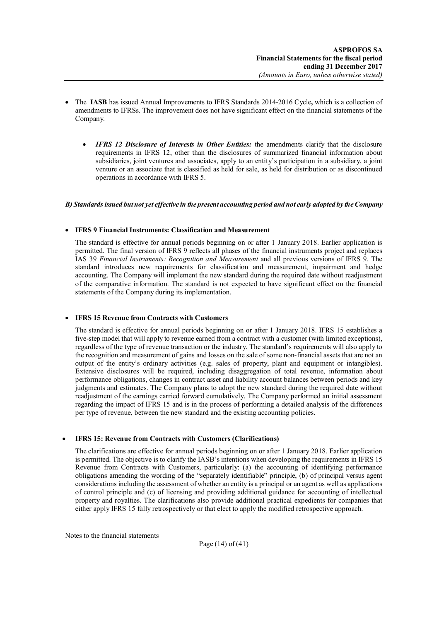- The **IASB** has issued Annual Improvements to IFRS Standards 2014-2016 Cycle**,** which is a collection of amendments to IFRSs. The improvement does not have significant effect on the financial statements of the Company.
	- *IFRS 12 Disclosure of Interests in Other Entities:* the amendments clarify that the disclosure requirements in IFRS 12, other than the disclosures of summarized financial information about subsidiaries, joint ventures and associates, apply to an entity's participation in a subsidiary, a joint venture or an associate that is classified as held for sale, as held for distribution or as discontinued operations in accordance with IFRS 5.

### *B) Standards issued but not yet effective in the present accounting period and not early adopted by the Company*

#### **IFRS 9 Financial Instruments: Classification and Measurement**

The standard is effective for annual periods beginning on or after 1 January 2018. Earlier application is permitted. The final version of IFRS 9 reflects all phases of the financial instruments project and replaces IAS 39 *Financial Instruments: Recognition and Measurement* and all previous versions of IFRS 9. The standard introduces new requirements for classification and measurement, impairment and hedge accounting. The Company will implement the new standard during the required date without readjustment of the comparative information. The standard is not expected to have significant effect on the financial statements of the Company during its implementation.

#### **IFRS 15 Revenue from Contracts with Customers**

The standard is effective for annual periods beginning on or after 1 January 2018. IFRS 15 establishes a five-step model that will apply to revenue earned from a contract with a customer (with limited exceptions), regardless of the type of revenue transaction or the industry. The standard's requirements will also apply to the recognition and measurement of gains and losses on the sale of some non-financial assets that are not an output of the entity's ordinary activities (e.g. sales of property, plant and equipment or intangibles). Extensive disclosures will be required, including disaggregation of total revenue, information about performance obligations, changes in contract asset and liability account balances between periods and key judgments and estimates. The Company plans to adopt the new standard during the required date without readjustment of the earnings carried forward cumulatively. The Company performed an initial assessment regarding the impact of IFRS 15 and is in the process of performing a detailed analysis of the differences per type of revenue, between the new standard and the existing accounting policies.

#### **IFRS 15: Revenue from Contracts with Customers (Clarifications)**

The clarifications are effective for annual periods beginning on or after 1 January 2018. Earlier application is permitted. The objective is to clarify the IASB's intentions when developing the requirements in IFRS 15 Revenue from Contracts with Customers, particularly: (a) the accounting of identifying performance obligations amending the wording of the "separately identifiable" principle, (b) of principal versus agent considerations including the assessment of whether an entity is a principal or an agent as well as applications of control principle and (c) of licensing and providing additional guidance for accounting of intellectual property and royalties. The clarifications also provide additional practical expedients for companies that either apply IFRS 15 fully retrospectively or that elect to apply the modified retrospective approach.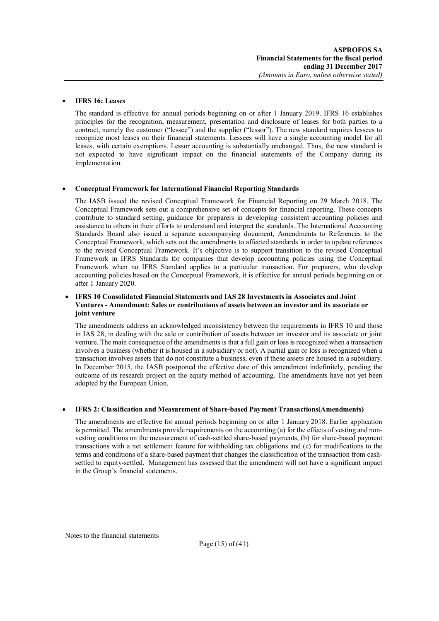#### **IFRS 16: Leases**

The standard is effective for annual periods beginning on or after 1 January 2019. IFRS 16 establishes principles for the recognition, measurement, presentation and disclosure of leases for both parties to a contract, namely the customer ("lessee") and the supplier ("lessor"). The new standard requires lessees to recognize most leases on their financial statements. Lessees will have a single accounting model for all leases, with certain exemptions. Lessor accounting is substantially unchanged. Thus, the new standard is not expected to have significant impact on the financial statements of the Company during its implementation.

### **Conceptual Framework for International Financial Reporting Standards**

The IASB issued the revised Conceptual Framework for Financial Reporting on 29 March 2018. The Conceptual Framework sets out a comprehensive set of concepts for financial reporting. These concepts contribute to standard setting, guidance for preparers in developing consistent accounting policies and assistance to others in their efforts to understand and interpret the standards. The International Accounting Standards Board also issued a separate accompanying document, Amendments to References to the Conceptual Framework, which sets out the amendments to affected standards in order to update references to the revised Conceptual Framework. It's objective is to support transition to the revised Conceptual Framework in IFRS Standards for companies that develop accounting policies using the Conceptual Framework when no IFRS Standard applies to a particular transaction. For preparers, who develop accounting policies based on the Conceptual Framework, it is effective for annual periods beginning on or after 1 January 2020.

#### **IFRS 10 Consolidated Financial Statements and IAS 28 Investments in Associates and Joint Ventures - Amendment: Sales or contributions of assets between an investor and its associate or joint venture**

The amendments address an acknowledged inconsistency between the requirements in IFRS 10 and those in IAS 28, in dealing with the sale or contribution of assets between an investor and its associate or joint venture. The main consequence of the amendments is that a full gain or loss is recognized when a transaction involves a business (whether it is housed in a subsidiary or not). A partial gain or loss is recognized when a transaction involves assets that do not constitute a business, even if these assets are housed in a subsidiary. In December 2015, the IASB postponed the effective date of this amendment indefinitely, pending the outcome of its research project on the equity method of accounting. The amendments have not yet been adopted by the European Union.

## **IFRS 2: Classification and Measurement of Share-based Payment Transactions(Amendments)**

The amendments are effective for annual periods beginning on or after 1 January 2018. Earlier application is permitted. The amendments provide requirements on the accounting (a) for the effects of vesting and nonvesting conditions on the measurement of cash-settled share-based payments, (b) for share-based payment transactions with a net settlement feature for withholding tax obligations and (c) for modifications to the terms and conditions of a share-based payment that changes the classification of the transaction from cashsettled to equity-settled. Management has assessed that the amendment will not have a significant impact in the Group's financial statements.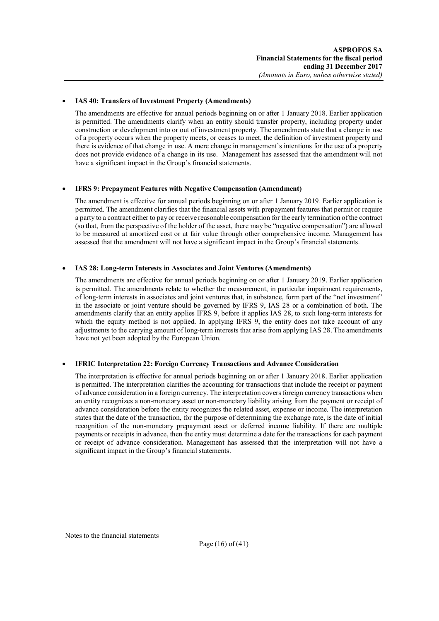### **IAS 40: Transfers of Investment Property (Amendments)**

The amendments are effective for annual periods beginning on or after 1 January 2018. Earlier application is permitted. The amendments clarify when an entity should transfer property, including property under construction or development into or out of investment property. The amendments state that a change in use of a property occurs when the property meets, or ceases to meet, the definition of investment property and there is evidence of that change in use. A mere change in management's intentions for the use of a property does not provide evidence of a change in its use. Management has assessed that the amendment will not have a significant impact in the Group's financial statements.

#### **IFRS 9: Prepayment Features with Negative Compensation (Amendment)**

The amendment is effective for annual periods beginning on or after 1 January 2019. Earlier application is permitted. The amendment clarifies that the financial assets with prepayment features that permit or require a party to a contract either to pay or receive reasonable compensation for the early termination of the contract (so that, from the perspective of the holder of the asset, there may be "negative compensation") are allowed to be measured at amortized cost or at fair value through other comprehensive income. Management has assessed that the amendment will not have a significant impact in the Group's financial statements.

### **IAS 28: Long-term Interests in Associates and Joint Ventures (Amendments)**

The amendments are effective for annual periods beginning on or after 1 January 2019. Earlier application is permitted. The amendments relate to whether the measurement, in particular impairment requirements, of long-term interests in associates and joint ventures that, in substance, form part of the "net investment" in the associate or joint venture should be governed by IFRS 9, IAS 28 or a combination of both. The amendments clarify that an entity applies IFRS 9, before it applies IAS 28, to such long-term interests for which the equity method is not applied. In applying IFRS 9, the entity does not take account of any adjustments to the carrying amount of long-term interests that arise from applying IAS 28. The amendments have not yet been adopted by the European Union.

## **IFRIC Interpretation 22: Foreign Currency Transactions and Advance Consideration**

The interpretation is effective for annual periods beginning on or after 1 January 2018. Earlier application is permitted. The interpretation clarifies the accounting for transactions that include the receipt or payment of advance consideration in a foreign currency. The interpretation covers foreign currency transactions when an entity recognizes a non-monetary asset or non-monetary liability arising from the payment or receipt of advance consideration before the entity recognizes the related asset, expense or income. The interpretation states that the date of the transaction, for the purpose of determining the exchange rate, is the date of initial recognition of the non-monetary prepayment asset or deferred income liability. If there are multiple payments or receipts in advance, then the entity must determine a date for the transactions for each payment or receipt of advance consideration. Management has assessed that the interpretation will not have a significant impact in the Group's financial statements.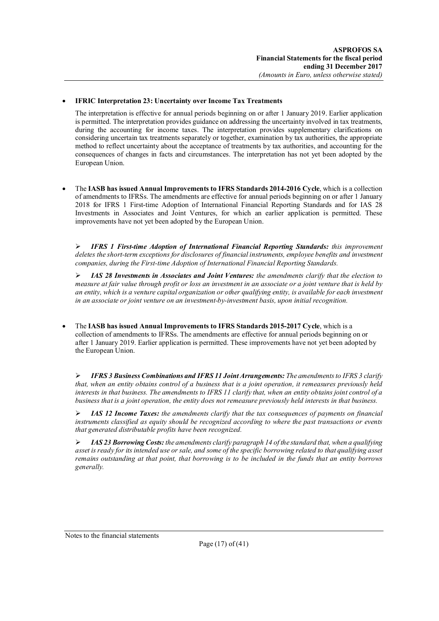### **IFRIC Interpretation 23: Uncertainty over Income Tax Treatments**

The interpretation is effective for annual periods beginning on or after 1 January 2019. Earlier application is permitted. The interpretation provides guidance on addressing the uncertainty involved in tax treatments, during the accounting for income taxes. The interpretation provides supplementary clarifications on considering uncertain tax treatments separately or together, examination by tax authorities, the appropriate method to reflect uncertainty about the acceptance of treatments by tax authorities, and accounting for the consequences of changes in facts and circumstances. The interpretation has not yet been adopted by the European Union.

 The **IASB has issued Annual Improvements to IFRS Standards 2014-2016 Cycle**, which is a collection of amendments to IFRSs. The amendments are effective for annual periods beginning on or after 1 January 2018 for IFRS 1 First-time Adoption of International Financial Reporting Standards and for IAS 28 Investments in Associates and Joint Ventures, for which an earlier application is permitted. These improvements have not yet been adopted by the European Union.

 *IFRS 1 First-time Adoption of International Financial Reporting Standards: this improvement deletes the short-term exceptions for disclosures of financial instruments, employee benefits and investment companies, during the First-time Adoption of International Financial Reporting Standards.*

 *IAS 28 Investments in Associates and Joint Ventures: the amendments clarify that the election to measure at fair value through profit or loss an investment in an associate or a joint venture that is held by an entity, which is a venture capital organization or other qualifying entity, is available for each investment in an associate or joint venture on an investment-by-investment basis, upon initial recognition.*

 The **IASB has issued Annual Improvements to IFRS Standards 2015-2017 Cycle**, which is a collection of amendments to IFRSs. The amendments are effective for annual periods beginning on or after 1 January 2019. Earlier application is permitted. These improvements have not yet been adopted by the European Union.

 *IFRS 3 Business Combinations and IFRS 11 Joint Arrangements: The amendments to IFRS 3 clarify that, when an entity obtains control of a business that is a joint operation, it remeasures previously held interests in that business. The amendments to IFRS 11 clarify that, when an entity obtains joint control of a business that is a joint operation, the entity does not remeasure previously held interests in that business.* 

 *IAS 12 Income Taxes: the amendments clarify that the tax consequences of payments on financial instruments classified as equity should be recognized according to where the past transactions or events that generated distributable profits have been recognized.*

 *IAS 23 Borrowing Costs: the amendments clarify paragraph 14 of the standard that, when a qualifying asset is ready for its intended use or sale, and some of the specific borrowing related to that qualifying asset remains outstanding at that point, that borrowing is to be included in the funds that an entity borrows generally.*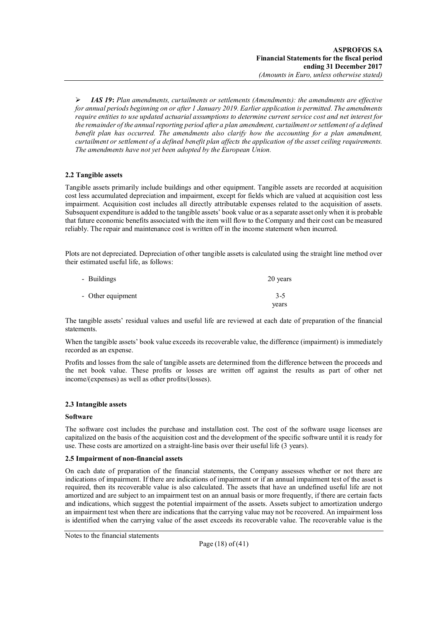*IAS 19***:** *Plan amendments, curtailments or settlements (Amendments): the amendments are effective for annual periods beginning on or after 1 January 2019. Earlier application is permitted. The amendments require entities to use updated actuarial assumptions to determine current service cost and net interest for the remainder of the annual reporting period after a plan amendment, curtailment or settlement of a defined benefit plan has occurred. The amendments also clarify how the accounting for a plan amendment, curtailment or settlement of a defined benefit plan affects the application of the asset ceiling requirements. The amendments have not yet been adopted by the European Union.*

## **2.2 Tangible assets**

Tangible assets primarily include buildings and other equipment. Tangible assets are recorded at acquisition cost less accumulated depreciation and impairment, except for fields which are valued at acquisition cost less impairment. Acquisition cost includes all directly attributable expenses related to the acquisition of assets. Subsequent expenditure is added to the tangible assets' book value or as a separate asset only when it is probable that future economic benefits associated with the item will flow to the Company and their cost can be measured reliably. The repair and maintenance cost is written off in the income statement when incurred.

Plots are not depreciated. Depreciation of other tangible assets is calculated using the straight line method over their estimated useful life, as follows:

| - Buildings       | 20 years |
|-------------------|----------|
| - Other equipment | $3 - 5$  |
|                   | years    |

The tangible assets' residual values and useful life are reviewed at each date of preparation of the financial statements.

When the tangible assets' book value exceeds its recoverable value, the difference (impairment) is immediately recorded as an expense.

Profits and losses from the sale of tangible assets are determined from the difference between the proceeds and the net book value. These profits or losses are written off against the results as part of other net income/(expenses) as well as other profits/(losses).

## **2.3 Intangible assets**

#### **Software**

The software cost includes the purchase and installation cost. The cost of the software usage licenses are capitalized on the basis of the acquisition cost and the development of the specific software until it is ready for use. These costs are amortized on a straight-line basis over their useful life (3 years).

#### **2.5 Impairment of non-financial assets**

On each date of preparation of the financial statements, the Company assesses whether or not there are indications of impairment. If there are indications of impairment or if an annual impairment test of the asset is required, then its recoverable value is also calculated. The assets that have an undefined useful life are not amortized and are subject to an impairment test on an annual basis or more frequently, if there are certain facts and indications, which suggest the potential impairment of the assets. Assets subject to amortization undergo an impairment test when there are indications that the carrying value may not be recovered. An impairment loss is identified when the carrying value of the asset exceeds its recoverable value. The recoverable value is the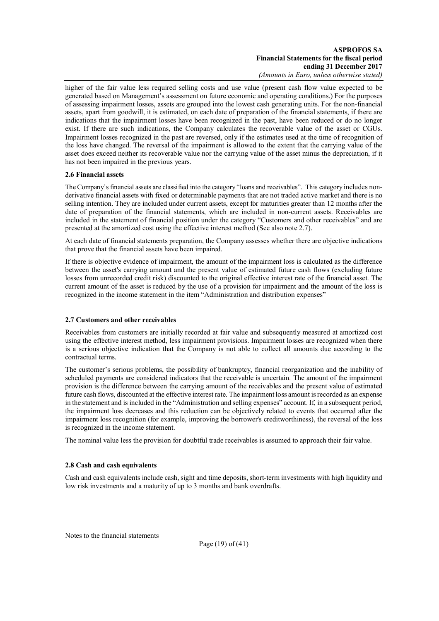higher of the fair value less required selling costs and use value (present cash flow value expected to be generated based on Management's assessment on future economic and operating conditions.) For the purposes of assessing impairment losses, assets are grouped into the lowest cash generating units. For the non-financial assets, apart from goodwill, it is estimated, on each date of preparation of the financial statements, if there are indications that the impairment losses have been recognized in the past, have been reduced or do no longer exist. If there are such indications, the Company calculates the recoverable value of the asset or CGUs. Impairment losses recognized in the past are reversed, only if the estimates used at the time of recognition of the loss have changed. The reversal of the impairment is allowed to the extent that the carrying value of the asset does exceed neither its recoverable value nor the carrying value of the asset minus the depreciation, if it has not been impaired in the previous years.

### **2.6 Financial assets**

The Company's financial assets are classified into the category "loans and receivables". This category includes nonderivative financial assets with fixed or determinable payments that are not traded active market and there is no selling intention. They are included under current assets, except for maturities greater than 12 months after the date of preparation of the financial statements, which are included in non-current assets. Receivables are included in the statement of financial position under the category "Customers and other receivables" and are presented at the amortized cost using the effective interest method (See also note 2.7).

At each date of financial statements preparation, the Company assesses whether there are objective indications that prove that the financial assets have been impaired.

If there is objective evidence of impairment, the amount of the impairment loss is calculated as the difference between the asset's carrying amount and the present value of estimated future cash flows (excluding future losses from unrecorded credit risk) discounted to the original effective interest rate of the financial asset. The current amount of the asset is reduced by the use of a provision for impairment and the amount of the loss is recognized in the income statement in the item "Administration and distribution expenses"

## **2.7 Customers and other receivables**

Receivables from customers are initially recorded at fair value and subsequently measured at amortized cost using the effective interest method, less impairment provisions. Impairment losses are recognized when there is a serious objective indication that the Company is not able to collect all amounts due according to the contractual terms.

The customer's serious problems, the possibility of bankruptcy, financial reorganization and the inability of scheduled payments are considered indicators that the receivable is uncertain. The amount of the impairment provision is the difference between the carrying amount of the receivables and the present value of estimated future cash flows, discounted at the effective interest rate. The impairment loss amount is recorded as an expense in the statement and is included in the "Administration and selling expenses" account. If, in a subsequent period, the impairment loss decreases and this reduction can be objectively related to events that occurred after the impairment loss recognition (for example, improving the borrower's creditworthiness), the reversal of the loss is recognized in the income statement.

The nominal value less the provision for doubtful trade receivables is assumed to approach their fair value.

#### **2.8 Cash and cash equivalents**

Cash and cash equivalents include cash, sight and time deposits, short-term investments with high liquidity and low risk investments and a maturity of up to 3 months and bank overdrafts.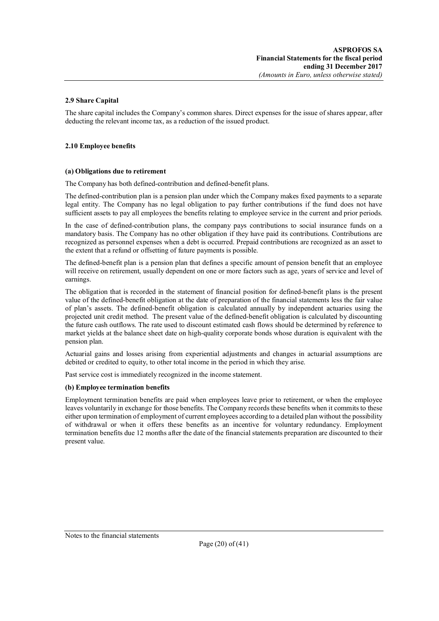#### **2.9 Share Capital**

The share capital includes the Company's common shares. Direct expenses for the issue of shares appear, after deducting the relevant income tax, as a reduction of the issued product.

#### **2.10 Employee benefits**

#### **(a) Obligations due to retirement**

The Company has both defined-contribution and defined-benefit plans.

The defined-contribution plan is a pension plan under which the Company makes fixed payments to a separate legal entity. The Company has no legal obligation to pay further contributions if the fund does not have sufficient assets to pay all employees the benefits relating to employee service in the current and prior periods.

In the case of defined-contribution plans, the company pays contributions to social insurance funds on a mandatory basis. The Company has no other obligation if they have paid its contributions. Contributions are recognized as personnel expenses when a debt is occurred. Prepaid contributions are recognized as an asset to the extent that a refund or offsetting of future payments is possible.

The defined-benefit plan is a pension plan that defines a specific amount of pension benefit that an employee will receive on retirement, usually dependent on one or more factors such as age, years of service and level of earnings.

The obligation that is recorded in the statement of financial position for defined-benefit plans is the present value of the defined-benefit obligation at the date of preparation of the financial statements less the fair value of plan's assets. The defined-benefit obligation is calculated annually by independent actuaries using the projected unit credit method. The present value of the defined-benefit obligation is calculated by discounting the future cash outflows. The rate used to discount estimated cash flows should be determined by reference to market yields at the balance sheet date on high-quality corporate bonds whose duration is equivalent with the pension plan.

Actuarial gains and losses arising from experiential adjustments and changes in actuarial assumptions are debited or credited to equity, to other total income in the period in which they arise.

Past service cost is immediately recognized in the income statement.

#### **(b) Employee termination benefits**

Employment termination benefits are paid when employees leave prior to retirement, or when the employee leaves voluntarily in exchange for those benefits. The Company records these benefits when it commits to these either upon termination of employment of current employees according to a detailed plan without the possibility of withdrawal or when it offers these benefits as an incentive for voluntary redundancy. Employment termination benefits due 12 months after the date of the financial statements preparation are discounted to their present value.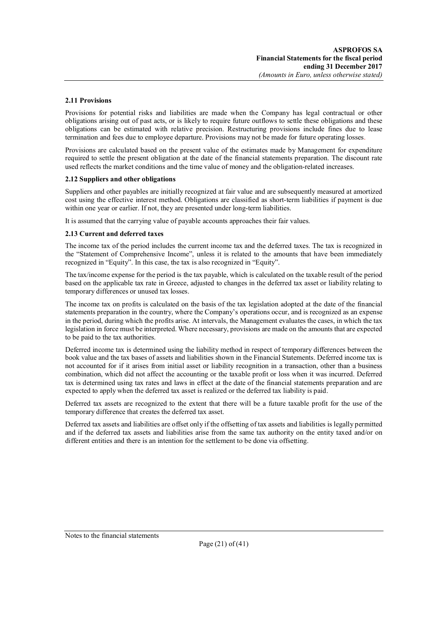#### **2.11 Provisions**

Provisions for potential risks and liabilities are made when the Company has legal contractual or other obligations arising out of past acts, or is likely to require future outflows to settle these obligations and these obligations can be estimated with relative precision. Restructuring provisions include fines due to lease termination and fees due to employee departure. Provisions may not be made for future operating losses.

Provisions are calculated based on the present value of the estimates made by Management for expenditure required to settle the present obligation at the date of the financial statements preparation. The discount rate used reflects the market conditions and the time value of money and the obligation-related increases.

#### **2.12 Suppliers and other obligations**

Suppliers and other payables are initially recognized at fair value and are subsequently measured at amortized cost using the effective interest method. Obligations are classified as short-term liabilities if payment is due within one year or earlier. If not, they are presented under long-term liabilities.

It is assumed that the carrying value of payable accounts approaches their fair values.

### **2.13 Current and deferred taxes**

The income tax of the period includes the current income tax and the deferred taxes. The tax is recognized in the "Statement of Comprehensive Income", unless it is related to the amounts that have been immediately recognized in "Equity". In this case, the tax is also recognized in "Equity".

The tax/income expense for the period is the tax payable, which is calculated on the taxable result of the period based on the applicable tax rate in Greece, adjusted to changes in the deferred tax asset or liability relating to temporary differences or unused tax losses.

The income tax on profits is calculated on the basis of the tax legislation adopted at the date of the financial statements preparation in the country, where the Company's operations occur, and is recognized as an expense in the period, during which the profits arise. At intervals, the Management evaluates the cases, in which the tax legislation in force must be interpreted. Where necessary, provisions are made on the amounts that are expected to be paid to the tax authorities.

Deferred income tax is determined using the liability method in respect of temporary differences between the book value and the tax bases of assets and liabilities shown in the Financial Statements. Deferred income tax is not accounted for if it arises from initial asset or liability recognition in a transaction, other than a business combination, which did not affect the accounting or the taxable profit or loss when it was incurred. Deferred tax is determined using tax rates and laws in effect at the date of the financial statements preparation and are expected to apply when the deferred tax asset is realized or the deferred tax liability is paid.

Deferred tax assets are recognized to the extent that there will be a future taxable profit for the use of the temporary difference that creates the deferred tax asset.

Deferred tax assets and liabilities are offset only if the offsetting of tax assets and liabilities is legally permitted and if the deferred tax assets and liabilities arise from the same tax authority on the entity taxed and/or on different entities and there is an intention for the settlement to be done via offsetting.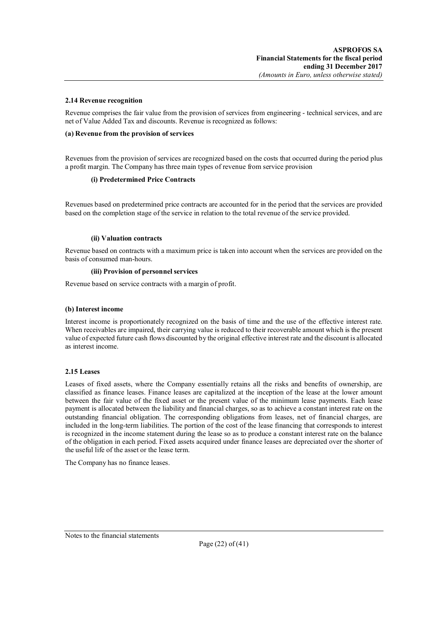#### **2.14 Revenue recognition**

Revenue comprises the fair value from the provision of services from engineering - technical services, and are net of Value Added Tax and discounts. Revenue is recognized as follows:

#### **(a) Revenue from the provision of services**

Revenues from the provision of services are recognized based on the costs that occurred during the period plus a profit margin. The Company has three main types of revenue from service provision

#### **(i) Predetermined Price Contracts**

Revenues based on predetermined price contracts are accounted for in the period that the services are provided based on the completion stage of the service in relation to the total revenue of the service provided.

#### **(ii) Valuation contracts**

Revenue based on contracts with a maximum price is taken into account when the services are provided on the basis of consumed man-hours.

#### **(iii) Provision of personnel services**

Revenue based on service contracts with a margin of profit.

#### **(b) Interest income**

Interest income is proportionately recognized on the basis of time and the use of the effective interest rate. When receivables are impaired, their carrying value is reduced to their recoverable amount which is the present value of expected future cash flows discounted by the original effective interest rate and the discount is allocated as interest income.

#### **2.15 Leases**

Leases of fixed assets, where the Company essentially retains all the risks and benefits of ownership, are classified as finance leases. Finance leases are capitalized at the inception of the lease at the lower amount between the fair value of the fixed asset or the present value of the minimum lease payments. Each lease payment is allocated between the liability and financial charges, so as to achieve a constant interest rate on the outstanding financial obligation. The corresponding obligations from leases, net of financial charges, are included in the long-term liabilities. The portion of the cost of the lease financing that corresponds to interest is recognized in the income statement during the lease so as to produce a constant interest rate on the balance of the obligation in each period. Fixed assets acquired under finance leases are depreciated over the shorter of the useful life of the asset or the lease term.

The Company has no finance leases.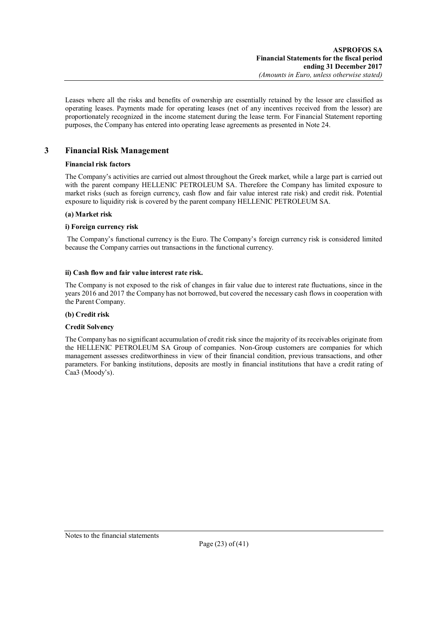Leases where all the risks and benefits of ownership are essentially retained by the lessor are classified as operating leases. Payments made for operating leases (net of any incentives received from the lessor) are proportionately recognized in the income statement during the lease term. For Financial Statement reporting purposes, the Company has entered into operating lease agreements as presented in Note 24.

## **3 Financial Risk Management**

## **Financial risk factors**

The Company's activities are carried out almost throughout the Greek market, while a large part is carried out with the parent company HELLENIC PETROLEUM SA. Therefore the Company has limited exposure to market risks (such as foreign currency, cash flow and fair value interest rate risk) and credit risk. Potential exposure to liquidity risk is covered by the parent company HELLENIC PETROLEUM SA.

## **(a) Market risk**

## **i) Foreign currency risk**

The Company's functional currency is the Euro. The Company's foreign currency risk is considered limited because the Company carries out transactions in the functional currency.

## **ii) Cash flow and fair value interest rate risk.**

The Company is not exposed to the risk of changes in fair value due to interest rate fluctuations, since in the years 2016 and 2017 the Company has not borrowed, but covered the necessary cash flows in cooperation with the Parent Company.

## **(b) Credit risk**

## **Credit Solvency**

The Company has no significant accumulation of credit risk since the majority of its receivables originate from the HELLENIC PETROLEUM SA Group of companies. Non-Group customers are companies for which management assesses creditworthiness in view of their financial condition, previous transactions, and other parameters. For banking institutions, deposits are mostly in financial institutions that have a credit rating of Caa3 (Moody's).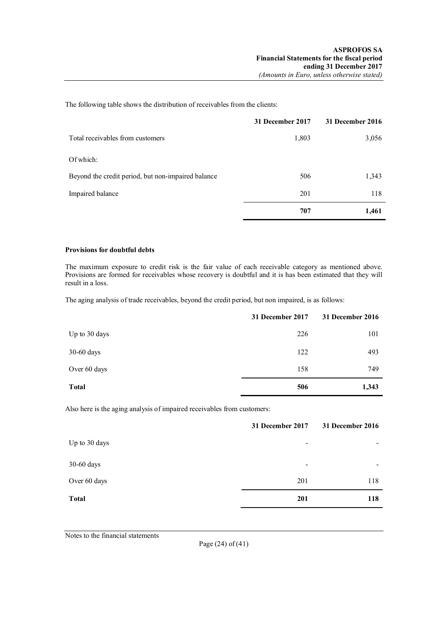The following table shows the distribution of receivables from the clients:

|                                                    | 31 December 2017 | <b>31 December 2016</b> |
|----------------------------------------------------|------------------|-------------------------|
| Total receivables from customers                   | 1,803            | 3,056                   |
| Of which:                                          |                  |                         |
| Beyond the credit period, but non-impaired balance | 506              | 1,343                   |
| Impaired balance                                   | 201              | 118                     |
|                                                    | 707              | 1,461                   |

#### **Provisions for doubtful debts**

The maximum exposure to credit risk is the fair value of each receivable category as mentioned above. Provisions are formed for receivables whose recovery is doubtful and it is has been estimated that they will result in a loss.

The aging analysis of trade receivables, beyond the credit period, but non impaired, is as follows:

|               | 31 December 2017 | 31 December 2016 |
|---------------|------------------|------------------|
| Up to 30 days | 226              | 101              |
| $30-60$ days  | 122              | 493              |
| Over 60 days  | 158              | 749              |
| <b>Total</b>  | 506              | 1,343            |

Also here is the aging analysis of impaired receivables from customers:

|               | 31 December 2017         | 31 December 2016 |
|---------------|--------------------------|------------------|
| Up to 30 days | $\,$                     |                  |
| 30-60 days    | $\overline{\phantom{a}}$ |                  |
| Over 60 days  | 201                      | 118              |
| <b>Total</b>  | 201                      | 118              |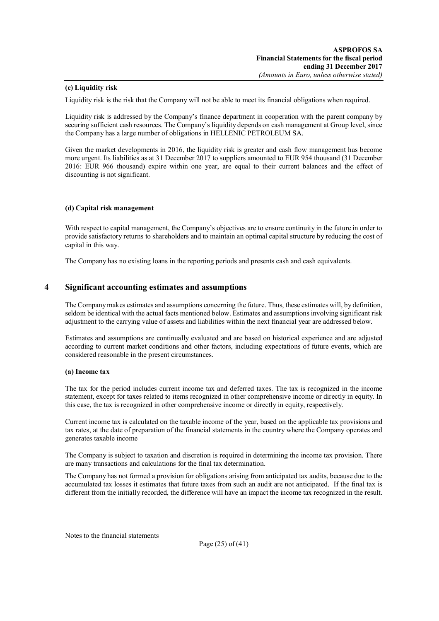### **(c) Liquidity risk**

Liquidity risk is the risk that the Company will not be able to meet its financial obligations when required.

Liquidity risk is addressed by the Company's finance department in cooperation with the parent company by securing sufficient cash resources. The Company's liquidity depends on cash management at Group level, since the Company has a large number of obligations in HELLENIC PETROLEUM SA.

Given the market developments in 2016, the liquidity risk is greater and cash flow management has become more urgent. Its liabilities as at 31 December 2017 to suppliers amounted to EUR 954 thousand (31 December 2016: EUR 966 thousand) expire within one year, are equal to their current balances and the effect of discounting is not significant.

#### **(d) Capital risk management**

With respect to capital management, the Company's objectives are to ensure continuity in the future in order to provide satisfactory returns to shareholders and to maintain an optimal capital structure by reducing the cost of capital in this way.

The Company has no existing loans in the reporting periods and presents cash and cash equivalents.

## **4 Significant accounting estimates and assumptions**

The Company makes estimates and assumptions concerning the future. Thus, these estimates will, by definition, seldom be identical with the actual facts mentioned below. Estimates and assumptions involving significant risk adjustment to the carrying value of assets and liabilities within the next financial year are addressed below.

Estimates and assumptions are continually evaluated and are based on historical experience and are adjusted according to current market conditions and other factors, including expectations of future events, which are considered reasonable in the present circumstances.

#### **(a) Income tax**

The tax for the period includes current income tax and deferred taxes. The tax is recognized in the income statement, except for taxes related to items recognized in other comprehensive income or directly in equity. In this case, the tax is recognized in other comprehensive income or directly in equity, respectively.

Current income tax is calculated on the taxable income of the year, based on the applicable tax provisions and tax rates, at the date of preparation of the financial statements in the country where the Company operates and generates taxable income

The Company is subject to taxation and discretion is required in determining the income tax provision. There are many transactions and calculations for the final tax determination.

The Company has not formed a provision for obligations arising from anticipated tax audits, because due to the accumulated tax losses it estimates that future taxes from such an audit are not anticipated. If the final tax is different from the initially recorded, the difference will have an impact the income tax recognized in the result.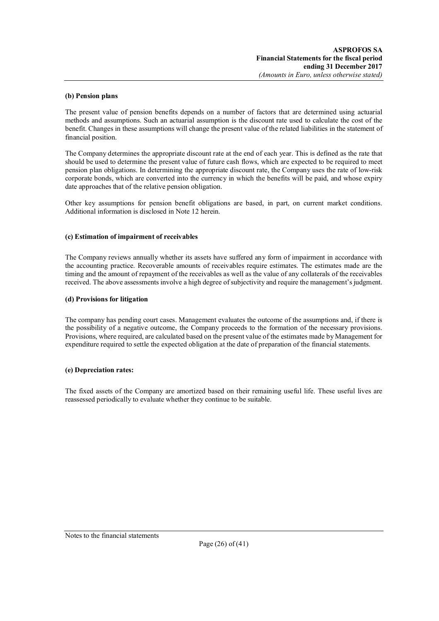#### **(b) Pension plans**

The present value of pension benefits depends on a number of factors that are determined using actuarial methods and assumptions. Such an actuarial assumption is the discount rate used to calculate the cost of the benefit. Changes in these assumptions will change the present value of the related liabilities in the statement of financial position.

The Company determines the appropriate discount rate at the end of each year. This is defined as the rate that should be used to determine the present value of future cash flows, which are expected to be required to meet pension plan obligations. In determining the appropriate discount rate, the Company uses the rate of low-risk corporate bonds, which are converted into the currency in which the benefits will be paid, and whose expiry date approaches that of the relative pension obligation.

Other key assumptions for pension benefit obligations are based, in part, on current market conditions. Additional information is disclosed in Note 12 herein.

#### **(c) Estimation of impairment of receivables**

The Company reviews annually whether its assets have suffered any form of impairment in accordance with the accounting practice. Recoverable amounts of receivables require estimates. The estimates made are the timing and the amount of repayment of the receivables as well as the value of any collaterals of the receivables received. The above assessments involve a high degree of subjectivity and require the management's judgment.

#### **(d) Provisions for litigation**

The company has pending court cases. Management evaluates the outcome of the assumptions and, if there is the possibility of a negative outcome, the Company proceeds to the formation of the necessary provisions. Provisions, where required, are calculated based on the present value of the estimates made by Management for expenditure required to settle the expected obligation at the date of preparation of the financial statements.

#### **(e) Depreciation rates:**

The fixed assets of the Company are amortized based on their remaining useful life. These useful lives are reassessed periodically to evaluate whether they continue to be suitable.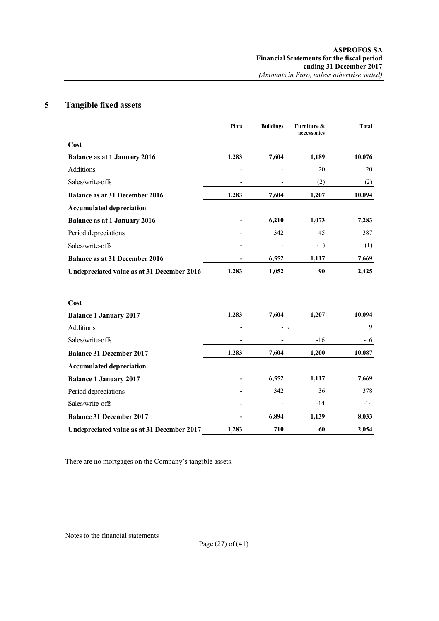## **5 Tangible fixed assets**

|                                            | <b>Plots</b> | <b>Buildings</b> | Furniture &<br>accessories | <b>T</b> otal |
|--------------------------------------------|--------------|------------------|----------------------------|---------------|
| Cost                                       |              |                  |                            |               |
| <b>Balance as at 1 January 2016</b>        | 1,283        | 7,604            | 1,189                      | 10,076        |
| Additions                                  |              |                  | 20                         | 20            |
| Sales/write-offs                           |              |                  | (2)                        | (2)           |
| <b>Balance as at 31 December 2016</b>      | 1,283        | 7,604            | 1,207                      | 10,094        |
| <b>Accumulated depreciation</b>            |              |                  |                            |               |
| <b>Balance as at 1 January 2016</b>        |              | 6,210            | 1,073                      | 7,283         |
| Period depreciations                       |              | 342              | 45                         | 387           |
| Sales/write-offs                           |              |                  | (1)                        | (1)           |
| <b>Balance as at 31 December 2016</b>      |              | 6,552            | 1,117                      | 7,669         |
| Undepreciated value as at 31 December 2016 | 1,283        | 1,052            | 90                         | 2,425         |
| Cost                                       |              |                  |                            |               |
| <b>Balance 1 January 2017</b>              | 1,283        | 7,604            | 1,207                      | 10,094        |
| <b>Additions</b>                           |              | $-9$             |                            | 9             |
| Sales/write-offs                           |              | -                | $-16$                      | $-16$         |
| <b>Balance 31 December 2017</b>            | 1,283        | 7,604            | 1,200                      | 10,087        |
| <b>Accumulated depreciation</b>            |              |                  |                            |               |
| <b>Balance 1 January 2017</b>              |              | 6,552            | 1,117                      | 7,669         |
| Period depreciations                       |              | 342              | 36                         | 378           |
| Sales/write-offs                           |              |                  | $-14$                      | $-14$         |
| <b>Balance 31 December 2017</b>            |              | 6,894            | 1,139                      | 8,033         |
| Undepreciated value as at 31 December 2017 | 1,283        | 710              | 60                         | 2,054         |

There are no mortgages on the Company's tangible assets.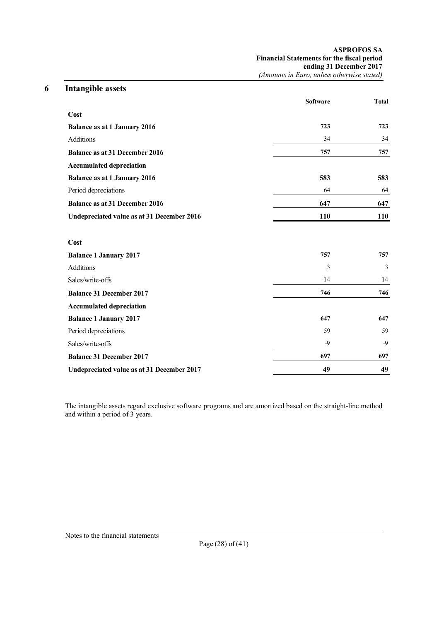| <b>ASPROFOS SA</b>                                |
|---------------------------------------------------|
| <b>Financial Statements for the fiscal period</b> |
| ending 31 December 2017                           |
| (Amounts in Euro, unless otherwise stated)        |

| 6 | <b>Intangible assets</b>                   |                 |              |
|---|--------------------------------------------|-----------------|--------------|
|   |                                            | <b>Software</b> | <b>Total</b> |
|   | Cost                                       |                 |              |
|   | <b>Balance as at 1 January 2016</b>        | 723             | 723          |
|   | Additions                                  | 34              | 34           |
|   | <b>Balance as at 31 December 2016</b>      | 757             | 757          |
|   | <b>Accumulated depreciation</b>            |                 |              |
|   | <b>Balance as at 1 January 2016</b>        | 583             | 583          |
|   | Period depreciations                       | 64              | 64           |
|   | <b>Balance as at 31 December 2016</b>      | 647             | 647          |
|   | Undepreciated value as at 31 December 2016 | 110             | 110          |
|   | Cost                                       |                 |              |
|   | <b>Balance 1 January 2017</b>              | 757             | 757          |
|   | <b>Additions</b>                           | $\overline{3}$  | 3            |
|   | Sales/write-offs                           | $-14$           | $-14$        |
|   | <b>Balance 31 December 2017</b>            | 746             | 746          |
|   | <b>Accumulated depreciation</b>            |                 |              |
|   | <b>Balance 1 January 2017</b>              | 647             | 647          |
|   | Period depreciations                       | 59              | 59           |
|   | Sales/write-offs                           | $-9$            | $-9$         |
|   | <b>Balance 31 December 2017</b>            | 697             | 697          |
|   | Undepreciated value as at 31 December 2017 | 49              | 49           |

The intangible assets regard exclusive software programs and are amortized based on the straight-line method and within a period of 3 years.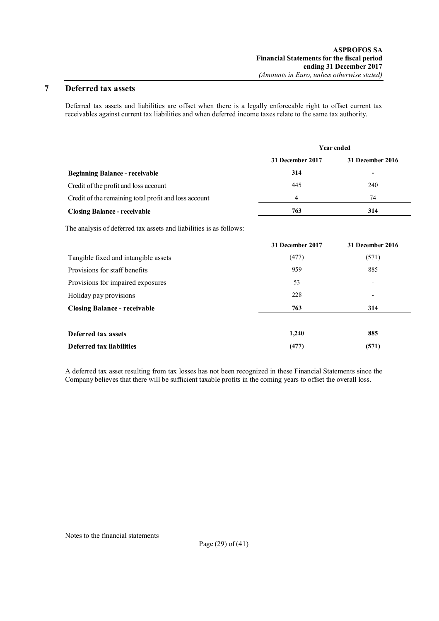## **7 Deferred tax assets**

Deferred tax assets and liabilities are offset when there is a legally enforceable right to offset current tax receivables against current tax liabilities and when deferred income taxes relate to the same tax authority.

|                                                       | <b>Year ended</b> |                         |  |
|-------------------------------------------------------|-------------------|-------------------------|--|
|                                                       | 31 December 2017  | <b>31 December 2016</b> |  |
| <b>Beginning Balance - receivable</b>                 | 314               |                         |  |
| Credit of the profit and loss account                 | 445               | 240                     |  |
| Credit of the remaining total profit and loss account | 4                 | 74                      |  |
| <b>Closing Balance - receivable</b>                   | 763               | 314                     |  |

The analysis of deferred tax assets and liabilities is as follows:

|                                      | 31 December 2017 | <b>31 December 2016</b>  |
|--------------------------------------|------------------|--------------------------|
| Tangible fixed and intangible assets | (477)            | (571)                    |
| Provisions for staff benefits        | 959              | 885                      |
| Provisions for impaired exposures    | 53               | $\overline{\phantom{a}}$ |
| Holiday pay provisions               | 228              | $\overline{\phantom{a}}$ |
| <b>Closing Balance - receivable</b>  | 763              | 314                      |
| Deferred tax assets                  | 1,240            | 885                      |
| Deferred tax liabilities             | (477)            | (571)                    |

A deferred tax asset resulting from tax losses has not been recognized in these Financial Statements since the Company believes that there will be sufficient taxable profits in the coming years to offset the overall loss.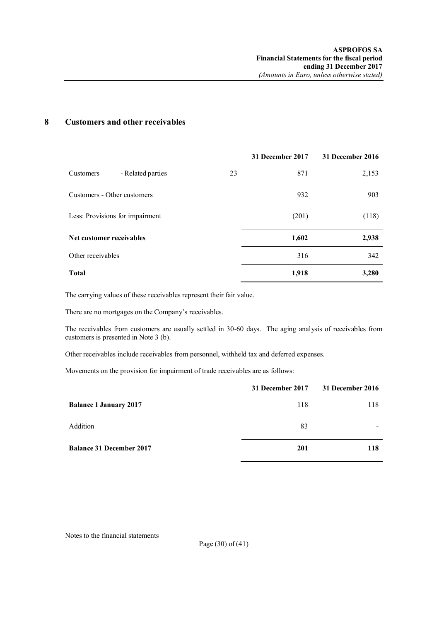## **8 Customers and other receivables**

|                                 |    | 31 December 2017 | 31 December 2016 |
|---------------------------------|----|------------------|------------------|
| - Related parties<br>Customers  | 23 | 871              | 2,153            |
| Customers - Other customers     |    | 932              | 903              |
| Less: Provisions for impairment |    | (201)            | (118)            |
| Net customer receivables        |    | 1,602            | 2,938            |
| Other receivables               |    | 316              | 342              |
| <b>Total</b>                    |    | 1,918            | 3,280            |

The carrying values of these receivables represent their fair value.

There are no mortgages on the Company's receivables.

The receivables from customers are usually settled in 30-60 days. The aging analysis of receivables from customers is presented in Note 3 (b).

Other receivables include receivables from personnel, withheld tax and deferred expenses.

Movements on the provision for impairment of trade receivables are as follows:

|                                 | 31 December 2017 | 31 December 2016 |
|---------------------------------|------------------|------------------|
| <b>Balance 1 January 2017</b>   | 118              | 118              |
| Addition                        | 83               |                  |
| <b>Balance 31 December 2017</b> | 201              | 118              |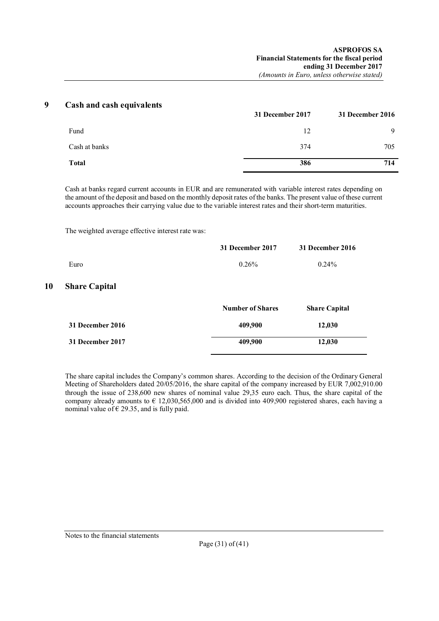| q | Cash and cash equivalents |                  |                  |
|---|---------------------------|------------------|------------------|
|   |                           | 31 December 2017 | 31 December 2016 |
|   | Fund                      | 12               | 9                |
|   | Cash at banks             | 374              | 705              |
|   | <b>Total</b>              | 386              | 714              |
|   |                           |                  |                  |

Cash at banks regard current accounts in EUR and are remunerated with variable interest rates depending on the amount of the deposit and based on the monthly deposit rates of the banks. The present value of these current accounts approaches their carrying value due to the variable interest rates and their short-term maturities.

The weighted average effective interest rate was:

**10** 

|                      | 31 December 2017        | 31 December 2016     |
|----------------------|-------------------------|----------------------|
| Euro                 | 0.26%                   | $0.24\%$             |
| <b>Share Capital</b> |                         |                      |
|                      | <b>Number of Shares</b> | <b>Share Capital</b> |
| 31 December 2016     | 409,900                 | 12,030               |
| 31 December 2017     | 409,900                 | 12,030               |

The share capital includes the Company's common shares. According to the decision of the Ordinary General Meeting of Shareholders dated 20/05/2016, the share capital of the company increased by EUR 7,002,910.00 through the issue of 238,600 new shares of nominal value 29,35 euro each. Thus, the share capital of the company already amounts to  $\epsilon$  12,030,565,000 and is divided into 409,900 registered shares, each having a nominal value of  $\epsilon$  29.35, and is fully paid.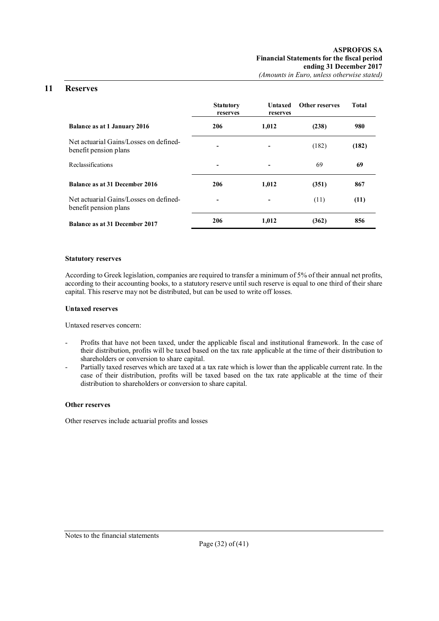## **11 Reserves**

|                                                                 | <b>Statutory</b><br>reserves | Untaxed<br>reserves | Other reserves | Total |
|-----------------------------------------------------------------|------------------------------|---------------------|----------------|-------|
| <b>Balance as at 1 January 2016</b>                             | 206                          | 1,012               | (238)          | 980   |
| Net actuarial Gains/Losses on defined-<br>benefit pension plans | $\overline{\phantom{a}}$     | -                   | (182)          | (182) |
| <b>Reclassifications</b>                                        | $\blacksquare$               |                     | 69             | 69    |
| Balance as at 31 December 2016                                  | 206                          | 1,012               | (351)          | 867   |
| Net actuarial Gains/Losses on defined-<br>benefit pension plans | $\blacksquare$               |                     | (11)           | (11)  |
| <b>Balance as at 31 December 2017</b>                           | 206                          | 1,012               | (362)          | 856   |

#### **Statutory reserves**

According to Greek legislation, companies are required to transfer a minimum of 5% of their annual net profits, according to their accounting books, to a statutory reserve until such reserve is equal to one third of their share capital. This reserve may not be distributed, but can be used to write off losses.

#### **Untaxed reserves**

Untaxed reserves concern:

- Profits that have not been taxed, under the applicable fiscal and institutional framework. In the case of their distribution, profits will be taxed based on the tax rate applicable at the time of their distribution to shareholders or conversion to share capital.
- Partially taxed reserves which are taxed at a tax rate which is lower than the applicable current rate. In the case of their distribution, profits will be taxed based on the tax rate applicable at the time of their distribution to shareholders or conversion to share capital.

#### **Other reserves**

Other reserves include actuarial profits and losses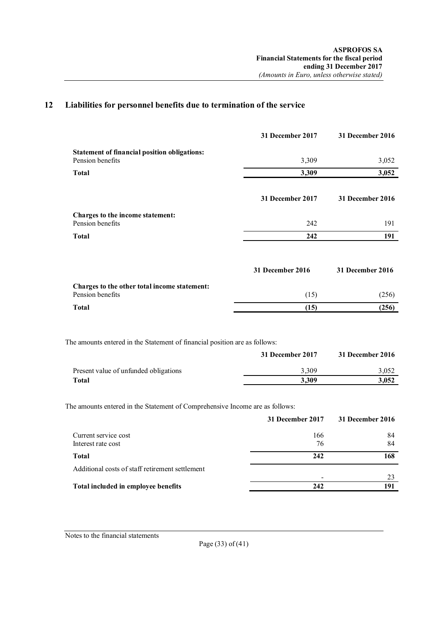## **12 Liabilities for personnel benefits due to termination of the service**

| 31 December 2017 | <b>31 December 2016</b> |
|------------------|-------------------------|
| 3,309            | 3,052                   |
| 3,309            | 3,052                   |
| 31 December 2017 | 31 December 2016        |
| 242              | 191                     |
| 242              | 191                     |
| 31 December 2016 | 31 December 2016        |
| (15)             | (256)                   |
| (15)             | (256)                   |
|                  |                         |

The amounts entered in the Statement of financial position are as follows:

|                                       | 31 December 2017 | 31 December 2016 |
|---------------------------------------|------------------|------------------|
| Present value of unfunded obligations | 3.309            | 3.052            |
| Total                                 | 3.309            | 3.052            |

The amounts entered in the Statement of Comprehensive Income are as follows:

|                                                 | 31 December 2017 | 31 December 2016 |
|-------------------------------------------------|------------------|------------------|
| Current service cost                            | 166              | 84               |
| Interest rate cost                              | 76               | 84               |
| Total                                           | 242              | 168              |
| Additional costs of staff retirement settlement |                  |                  |
|                                                 | -                | 23               |
| Total included in employee benefits             | 242              | 191              |

Notes to the financial statements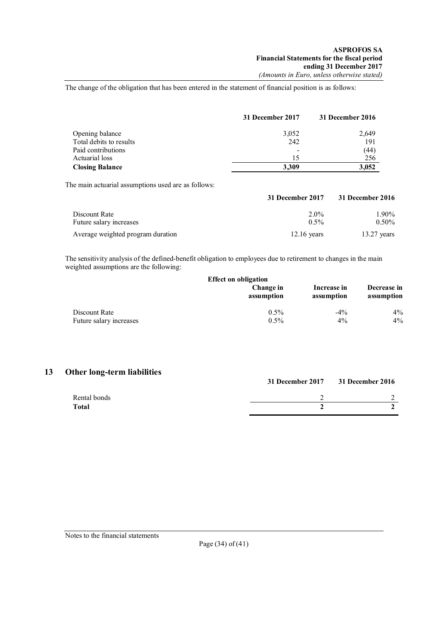The change of the obligation that has been entered in the statement of financial position is as follows:

|                         | 31 December 2017         | 31 December 2016 |
|-------------------------|--------------------------|------------------|
| Opening balance         | 3,052                    | 2,649            |
| Total debits to results | 242                      | 191              |
| Paid contributions      | $\overline{\phantom{a}}$ | (44)             |
| Actuarial loss          | 15                       | 256              |
| <b>Closing Balance</b>  | 3.309                    | 3,052            |

The main actuarial assumptions used are as follows:

|                                   | 31 December 2017 | 31 December 2016 |
|-----------------------------------|------------------|------------------|
| Discount Rate                     | $2.0\%$          | 1.90%            |
| Future salary increases           | $0.5\%$          | $0.50\%$         |
| Average weighted program duration | $12.16$ vears    | $13.27$ years    |

The sensitivity analysis of the defined-benefit obligation to employees due to retirement to changes in the main weighted assumptions are the following:

|                         | <b>Effect on obligation</b> |                           |                           |
|-------------------------|-----------------------------|---------------------------|---------------------------|
|                         | Change in<br>assumption     | Increase in<br>assumption | Decrease in<br>assumption |
| Discount Rate           | $0.5\%$                     | $-4\%$                    | $4\%$                     |
| Future salary increases | $0.5\%$                     | $4\%$                     | $4\%$                     |

## **13 Other long-term liabilities**

|              | 31 December 2017 | <b>31 December 2016</b> |
|--------------|------------------|-------------------------|
| Rental bonds |                  |                         |
| <b>Total</b> |                  |                         |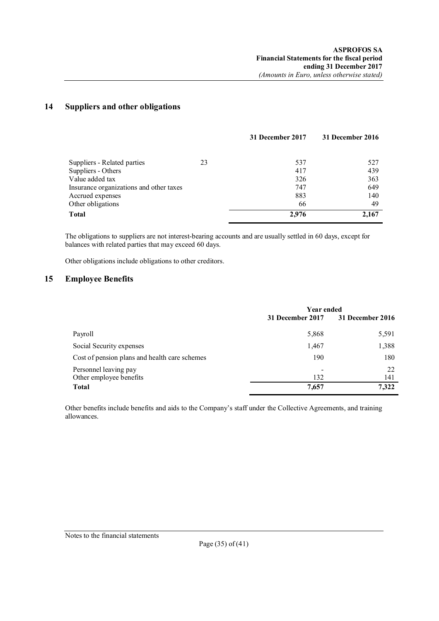## **14 Suppliers and other obligations**

|                                         |    | 31 December 2017 | 31 December 2016 |
|-----------------------------------------|----|------------------|------------------|
|                                         |    |                  |                  |
| Suppliers - Related parties             | 23 | 537              | 527              |
| Suppliers - Others                      |    | 417              | 439              |
| Value added tax                         |    | 326              | 363              |
| Insurance organizations and other taxes |    | 747              | 649              |
| Accrued expenses                        |    | 883              | 140              |
| Other obligations                       |    | 66               | 49               |
| <b>Total</b>                            |    | 2.976            | 2,167            |

The obligations to suppliers are not interest-bearing accounts and are usually settled in 60 days, except for balances with related parties that may exceed 60 days.

Other obligations include obligations to other creditors.

## **15 Employee Benefits**

|                                                  | <b>Year ended</b> |                  |
|--------------------------------------------------|-------------------|------------------|
|                                                  | 31 December 2017  | 31 December 2016 |
| Payroll                                          | 5,868             | 5,591            |
| Social Security expenses                         | 1,467             | 1,388            |
| Cost of pension plans and health care schemes    | 190               | 180              |
| Personnel leaving pay<br>Other employee benefits | 132               | 22<br>141        |
| <b>Total</b>                                     | 7,657             | 7,322            |

Other benefits include benefits and aids to the Company's staff under the Collective Agreements, and training allowances.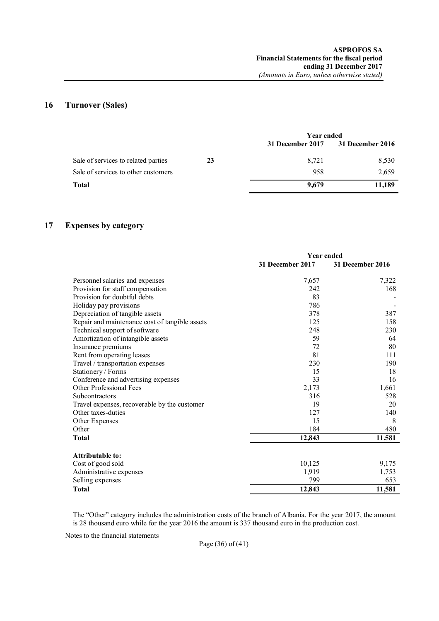## **16 Turnover (Sales)**

|                                     |    | Year ended       |                  |
|-------------------------------------|----|------------------|------------------|
|                                     |    | 31 December 2017 | 31 December 2016 |
| Sale of services to related parties | 23 | 8.721            | 8,530            |
| Sale of services to other customers |    | 958              | 2,659            |
| Total                               |    | 9.679            | 11,189           |

## **17 Expenses by category**

|                                                | <b>Year ended</b> |                  |
|------------------------------------------------|-------------------|------------------|
|                                                | 31 December 2017  | 31 December 2016 |
| Personnel salaries and expenses                | 7,657             | 7,322            |
| Provision for staff compensation               | 242               | 168              |
| Provision for doubtful debts                   | 83                |                  |
| Holiday pay provisions                         | 786               |                  |
| Depreciation of tangible assets                | 378               | 387              |
| Repair and maintenance cost of tangible assets | 125               | 158              |
| Technical support of software                  | 248               | 230              |
| Amortization of intangible assets              | 59                | 64               |
| Insurance premiums                             | 72                | 80               |
| Rent from operating leases                     | 81                | 111              |
| Travel / transportation expenses               | 230               | 190              |
| Stationery / Forms                             | 15                | 18               |
| Conference and advertising expenses            | 33                | 16               |
| <b>Other Professional Fees</b>                 | 2,173             | 1,661            |
| Subcontractors                                 | 316               | 528              |
| Travel expenses, recoverable by the customer   | 19                | 20               |
| Other taxes-duties                             | 127               | 140              |
| Other Expenses                                 | 15                | 8                |
| Other                                          | 184               | 480              |
| <b>Total</b>                                   | 12,843            | 11,581           |
| Attributable to:                               |                   |                  |
| Cost of good sold                              | 10,125            | 9,175            |
| Administrative expenses                        | 1,919             | 1,753            |
| Selling expenses                               | 799               | 653              |
|                                                |                   |                  |
| <b>Total</b>                                   | 12,843            | 11,581           |

The "Other" category includes the administration costs of the branch of Albania. For the year 2017, the amount is 28 thousand euro while for the year 2016 the amount is 337 thousand euro in the production cost.

Notes to the financial statements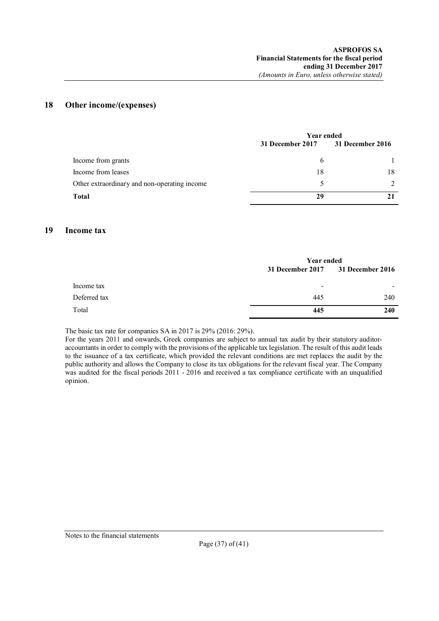## **18 Other income/(expenses)**

|                                              | <b>Year ended</b> |                  |
|----------------------------------------------|-------------------|------------------|
|                                              | 31 December 2017  | 31 December 2016 |
| Income from grants                           | 6                 |                  |
| Income from leases                           | 18                | 18               |
| Other extraordinary and non-operating income |                   |                  |
| Total                                        | 29                |                  |
|                                              |                   |                  |

## **19 Income tax**

|              | <b>Year ended</b>        |                          |
|--------------|--------------------------|--------------------------|
|              | 31 December 2017         | <b>31 December 2016</b>  |
| Income tax   | $\overline{\phantom{a}}$ | $\overline{\phantom{a}}$ |
| Deferred tax | 445                      | 240                      |
| Total        | 445                      | <b>240</b>               |

The basic tax rate for companies SA in 2017 is 29% (2016: 29%).

For the years 2011 and onwards, Greek companies are subject to annual tax audit by their statutory auditoraccountants in order to comply with the provisions of the applicable tax legislation. The result of this audit leads to the issuance of a tax certificate, which provided the relevant conditions are met replaces the audit by the public authority and allows the Company to close its tax obligations for the relevant fiscal year. The Company was audited for the fiscal periods  $2011 - 2016$  and received a tax compliance certificate with an unqualified opinion.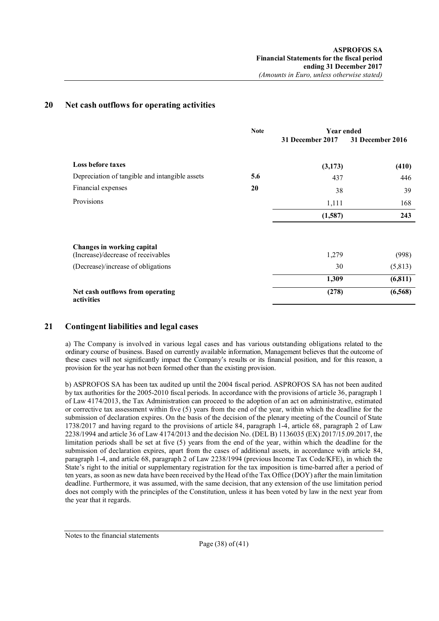## **20 Net cash outflows for operating activities**

|                                                                  | <b>Note</b> | <b>Year ended</b> |                  |
|------------------------------------------------------------------|-------------|-------------------|------------------|
|                                                                  |             | 31 December 2017  | 31 December 2016 |
| <b>Loss before taxes</b>                                         |             | (3,173)           | (410)            |
| Depreciation of tangible and intangible assets                   | 5.6         | 437               | 446              |
| Financial expenses                                               | <b>20</b>   | 38                | 39               |
| Provisions                                                       |             | 1,111             | 168              |
|                                                                  |             | (1,587)           | 243              |
|                                                                  |             |                   |                  |
| Changes in working capital<br>(Increase)/decrease of receivables |             | 1,279             | (998)            |
| (Decrease)/increase of obligations                               |             | 30                | (5,813)          |
|                                                                  |             | 1,309             | (6, 811)         |
| Net cash outflows from operating<br>activities                   |             | (278)             | (6,568)          |

## **21 Contingent liabilities and legal cases**

a) The Company is involved in various legal cases and has various outstanding obligations related to the ordinary course of business. Based on currently available information, Management believes that the outcome of these cases will not significantly impact the Company's results or its financial position, and for this reason, a provision for the year has not been formed other than the existing provision.

b) ASPROFOS SA has been tax audited up until the 2004 fiscal period. ASPROFOS SA has not been audited by tax authorities for the 2005-2010 fiscal periods. In accordance with the provisions of article 36, paragraph 1 of Law 4174/2013, the Tax Administration can proceed to the adoption of an act on administrative, estimated or corrective tax assessment within five (5) years from the end of the year, within which the deadline for the submission of declaration expires. On the basis of the decision of the plenary meeting of the Council of State 1738/2017 and having regard to the provisions of article 84, paragraph 1-4, article 68, paragraph 2 of Law 2238/1994 and article 36 of Law 4174/2013 and the decision No. (DEL B) 1136035 (EX) 2017/15.09.2017, the limitation periods shall be set at five (5) years from the end of the year, within which the deadline for the submission of declaration expires, apart from the cases of additional assets, in accordance with article 84, paragraph 1-4, and article 68, paragraph 2 of Law 2238/1994 (previous Income Tax Code/KFE), in which the State's right to the initial or supplementary registration for the tax imposition is time-barred after a period of ten years, as soon as new data have been received by the Head of the Tax Office (DOY) after the main limitation deadline. Furthermore, it was assumed, with the same decision, that any extension of the use limitation period does not comply with the principles of the Constitution, unless it has been voted by law in the next year from the year that it regards.

Notes to the financial statements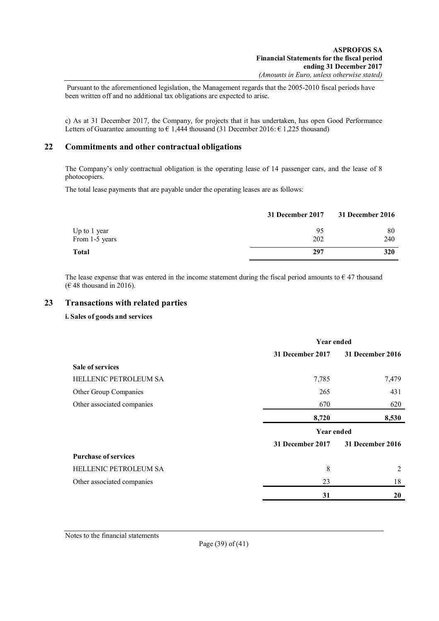Pursuant to the aforementioned legislation, the Management regards that the 2005-2010 fiscal periods have been written off and no additional tax obligations are expected to arise.

c) As at 31 December 2017, the Company, for projects that it has undertaken, has open Good Performance Letters of Guarantee amounting to  $\epsilon$  1,444 thousand (31 December 2016:  $\epsilon$  1,225 thousand)

## **22 Commitments and other contractual obligations**

The Company's only contractual obligation is the operating lease of 14 passenger cars, and the lease of 8 photocopiers.

The total lease payments that are payable under the operating leases are as follows:

|                | 31 December 2017 | <b>31 December 2016</b> |
|----------------|------------------|-------------------------|
| Up to 1 year   | 95               | 80                      |
| From 1-5 years | 202              | 240                     |
| <b>Total</b>   | 297              | 320                     |

The lease expense that was entered in the income statement during the fiscal period amounts to  $\epsilon$  47 thousand ( $€$  48 thousand in 2016).

## **23 Transactions with related parties**

#### **i. Sales of goods and services**

|                             | <b>Year ended</b>       |                         |  |
|-----------------------------|-------------------------|-------------------------|--|
|                             | 31 December 2017        | 31 December 2016        |  |
| <b>Sale of services</b>     |                         |                         |  |
| HELLENIC PETROLEUM SA       | 7,785                   | 7,479                   |  |
| Other Group Companies       | 265                     | 431                     |  |
| Other associated companies  | 670                     | 620                     |  |
|                             | 8,720                   | 8,530                   |  |
|                             |                         | <b>Year ended</b>       |  |
|                             | <b>31 December 2017</b> | <b>31 December 2016</b> |  |
| <b>Purchase of services</b> |                         |                         |  |
| HELLENIC PETROLEUM SA       | 8                       | 2                       |  |
| Other associated companies  | 23                      | 18                      |  |
|                             | 31                      | 20                      |  |

Notes to the financial statements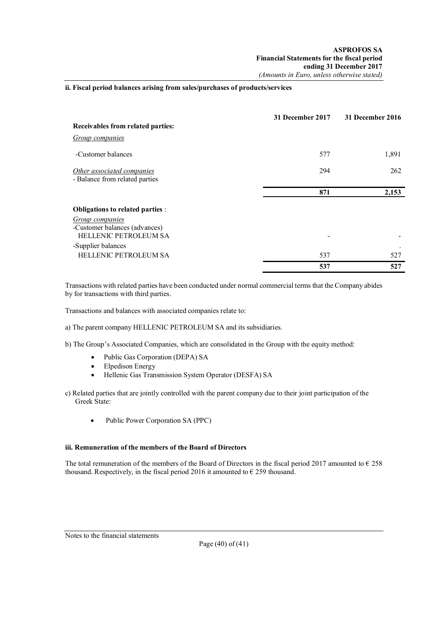### **ii. Fiscal period balances arising from sales/purchases of products/services**

|                                                                                  | <b>31 December 2017</b> | 31 December 2016 |
|----------------------------------------------------------------------------------|-------------------------|------------------|
| Receivables from related parties:                                                |                         |                  |
| <b>Group companies</b>                                                           |                         |                  |
| -Customer balances                                                               | 577                     | 1,891            |
| Other associated companies<br>- Balance from related parties                     | 294                     | 262              |
|                                                                                  | 871                     | 2,153            |
| Obligations to related parties :                                                 |                         |                  |
| Group companies<br>-Customer balances (advances)<br><b>HELLENIC PETROLEUM SA</b> |                         |                  |
| -Supplier balances<br>HELLENIC PETROLEUM SA                                      | 537                     | 527              |
|                                                                                  | 537                     | 527              |

Transactions with related parties have been conducted under normal commercial terms that the Company abides by for transactions with third parties.

Transactions and balances with associated companies relate to:

a) The parent company HELLENIC PETROLEUM SA and its subsidiaries.

b) The Group's Associated Companies, which are consolidated in the Group with the equity method:

- Public Gas Corporation (DEPA) SA
- Elpedison Energy
- Hellenic Gas Transmission System Operator (DESFA) SA
- c) Related parties that are jointly controlled with the parent company due to their joint participation of the Greek State:
	- Public Power Corporation SA (PPC)

#### **iii. Remuneration of the members of the Board of Directors**

The total remuneration of the members of the Board of Directors in the fiscal period 2017 amounted to  $\epsilon$  258 thousand. Respectively, in the fiscal period 2016 it amounted to  $\epsilon$  259 thousand.